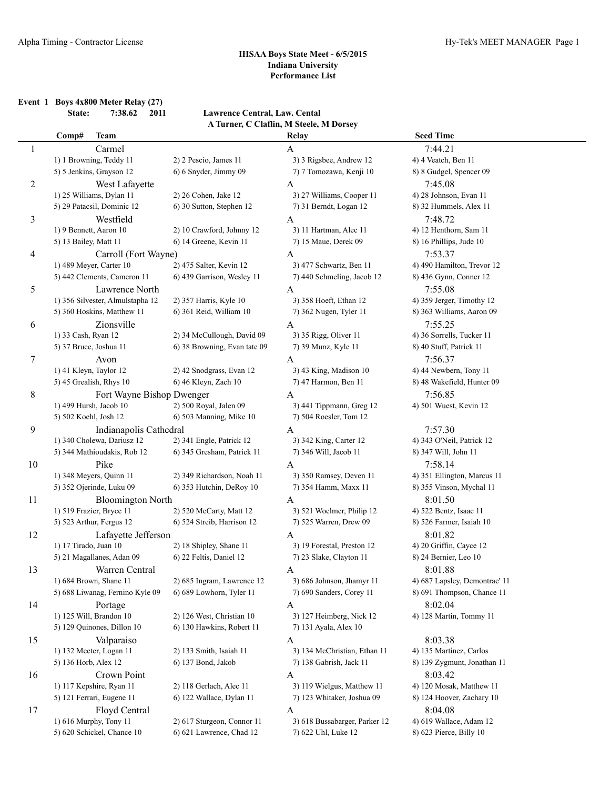**Event 1 Boys 4x800 Meter Relay (27)**

**State: 7:38.62 2011 Lawrence Central, Law. Cental A Turner, C Claflin, M Steele, M Dorsey**

|    | <b>Team</b><br>Comp#             |                              | Relay                         | <b>Seed Time</b>              |  |
|----|----------------------------------|------------------------------|-------------------------------|-------------------------------|--|
| 1  | Carmel                           |                              | A                             | 7:44.21                       |  |
|    | 1) 1 Browning, Teddy 11          | 2) 2 Pescio, James 11        | 3) 3 Rigsbee, Andrew 12       | 4) 4 Veatch, Ben 11           |  |
|    | 5) 5 Jenkins, Grayson 12         | 6) 6 Snyder, Jimmy 09        | 7) 7 Tomozawa, Kenji 10       | 8) 8 Gudgel, Spencer 09       |  |
| 2  | West Lafayette                   |                              | A                             | 7:45.08                       |  |
|    | 1) 25 Williams, Dylan 11         | 2) 26 Cohen, Jake 12         | 3) 27 Williams, Cooper 11     | 4) 28 Johnson, Evan 11        |  |
|    | 5) 29 Patacsil, Dominic 12       | 6) 30 Sutton, Stephen 12     | 7) 31 Berndt, Logan 12        | 8) 32 Hummels, Alex 11        |  |
| 3  | Westfield                        |                              | A                             | 7:48.72                       |  |
|    | 1) 9 Bennett, Aaron 10           | 2) 10 Crawford, Johnny 12    | 3) 11 Hartman, Alec 11        | 4) 12 Henthorn, Sam 11        |  |
|    | 5) 13 Bailey, Matt 11            | 6) 14 Greene, Kevin 11       | 7) 15 Maue, Derek 09          | 8) 16 Phillips, Jude 10       |  |
| 4  | Carroll (Fort Wayne)             |                              | A                             | 7:53.37                       |  |
|    | 1) 489 Meyer, Carter 10          | 2) 475 Salter, Kevin 12      | 3) 477 Schwartz, Ben 11       | 4) 490 Hamilton, Trevor 12    |  |
|    | 5) 442 Clements, Cameron 11      | 6) 439 Garrison, Wesley 11   | 7) 440 Schmeling, Jacob 12    | 8) 436 Gynn, Conner 12        |  |
| 5  | Lawrence North                   |                              | A                             | 7:55.08                       |  |
|    | 1) 356 Silvester, Almulstapha 12 | 2) 357 Harris, Kyle 10       | 3) 358 Hoeft, Ethan 12        | 4) 359 Jerger, Timothy 12     |  |
|    | 5) 360 Hoskins, Matthew 11       | 6) 361 Reid, William 10      | 7) 362 Nugen, Tyler 11        | 8) 363 Williams, Aaron 09     |  |
| 6  | Zionsville                       |                              | A                             | 7:55.25                       |  |
|    | 1) 33 Cash, Ryan 12              | 2) 34 McCullough, David 09   | 3) 35 Rigg, Oliver 11         | 4) 36 Sorrells, Tucker 11     |  |
|    | 5) 37 Bruce, Joshua 11           | 6) 38 Browning, Evan tate 09 | 7) 39 Munz, Kyle 11           | 8) 40 Stuff, Patrick 11       |  |
| 7  | Avon                             |                              | A                             | 7:56.37                       |  |
|    | 1) 41 Kleyn, Taylor 12           | 2) 42 Snodgrass, Evan 12     | 3) 43 King, Madison 10        | 4) 44 Newbern, Tony 11        |  |
|    | 5) 45 Grealish, Rhys 10          | 6) 46 Kleyn, Zach 10         | 7) 47 Harmon, Ben 11          | 8) 48 Wakefield, Hunter 09    |  |
| 8  |                                  | Fort Wayne Bishop Dwenger    | A                             | 7:56.85                       |  |
|    | 1) 499 Hursh, Jacob 10           | 2) 500 Royal, Jalen 09       | 3) 441 Tippmann, Greg 12      | 4) 501 Wuest, Kevin 12        |  |
|    | 5) 502 Koehl, Josh 12            | 6) 503 Manning, Mike 10      | 7) 504 Roesler, Tom 12        |                               |  |
| 9  | Indianapolis Cathedral           |                              | A                             | 7:57.30                       |  |
|    | 1) 340 Cholewa, Dariusz 12       | 2) 341 Engle, Patrick 12     | 3) 342 King, Carter 12        | 4) 343 O'Neil, Patrick 12     |  |
|    | 5) 344 Mathioudakis, Rob 12      | 6) 345 Gresham, Patrick 11   | 7) 346 Will, Jacob 11         | 8) 347 Will, John 11          |  |
| 10 | Pike                             |                              | A                             | 7:58.14                       |  |
|    | 1) 348 Meyers, Quinn 11          | 2) 349 Richardson, Noah 11   | 3) 350 Ramsey, Deven 11       | 4) 351 Ellington, Marcus 11   |  |
|    | 5) 352 Ojerinde, Luku 09         | 6) 353 Hutchin, DeRoy 10     | 7) 354 Hamm, Maxx 11          | 8) 355 Vinson, Mychal 11      |  |
| 11 | <b>Bloomington North</b>         |                              | A                             | 8:01.50                       |  |
|    | 1) 519 Frazier, Bryce 11         | 2) 520 McCarty, Matt 12      | 3) 521 Woelmer, Philip 12     | 4) 522 Bentz, Isaac 11        |  |
|    | 5) 523 Arthur, Fergus 12         | 6) 524 Streib, Harrison 12   | 7) 525 Warren, Drew 09        | 8) 526 Farmer, Isaiah 10      |  |
| 12 | Lafayette Jefferson              |                              | A                             | 8:01.82                       |  |
|    | 1) 17 Tirado, Juan 10            | 2) 18 Shipley, Shane 11      | 3) 19 Forestal, Preston 12    | 4) 20 Griffin, Cayce 12       |  |
|    | 5) 21 Magallanes, Adan 09        | 6) 22 Feltis, Daniel 12      | 7) 23 Slake, Clayton 11       | 8) 24 Bernier, Leo 10         |  |
| 13 | Warren Central                   |                              | A                             | 8:01.88                       |  |
|    | 1) 684 Brown, Shane 11           | 2) 685 Ingram, Lawrence 12   | 3) 686 Johnson, Jhamyr 11     | 4) 687 Lapsley, Demontrae' 11 |  |
|    | 5) 688 Liwanag, Fernino Kyle 09  | 6) 689 Lowhorn, Tyler 11     | 7) 690 Sanders, Corey 11      | 8) 691 Thompson, Chance 11    |  |
| 14 | Portage                          |                              | A                             | 8:02.04                       |  |
|    | 1) 125 Will, Brandon 10          | 2) 126 West, Christian 10    | 3) 127 Heimberg, Nick 12      | 4) 128 Martin, Tommy 11       |  |
|    | 5) 129 Quinones, Dillon 10       | 6) 130 Hawkins, Robert 11    | 7) 131 Ayala, Alex 10         |                               |  |
| 15 | Valparaiso                       |                              | A                             | 8:03.38                       |  |
|    | 1) 132 Meeter, Logan 11          | 2) 133 Smith, Isaiah 11      | 3) 134 McChristian, Ethan 11  | 4) 135 Martinez, Carlos       |  |
|    | 5) 136 Horb, Alex 12             | 6) 137 Bond, Jakob           | 7) 138 Gabrish, Jack 11       | 8) 139 Zygmunt, Jonathan 11   |  |
| 16 | Crown Point                      |                              | A                             | 8:03.42                       |  |
|    | 1) 117 Kepshire, Ryan 11         | 2) 118 Gerlach, Alec 11      | 3) 119 Wielgus, Matthew 11    | 4) 120 Mosak, Matthew 11      |  |
|    | 5) 121 Ferrari, Eugene 11        | 6) 122 Wallace, Dylan 11     | 7) 123 Whitaker, Joshua 09    | 8) 124 Hoover, Zachary 10     |  |
| 17 | Floyd Central                    |                              | A                             | 8:04.08                       |  |
|    | 1) 616 Murphy, Tony 11           | 2) 617 Sturgeon, Connor 11   | 3) 618 Bussabarger, Parker 12 | 4) 619 Wallace, Adam 12       |  |
|    | 5) 620 Schickel, Chance 10       | 6) 621 Lawrence, Chad 12     | 7) 622 Uhl, Luke 12           | 8) 623 Pierce, Billy 10       |  |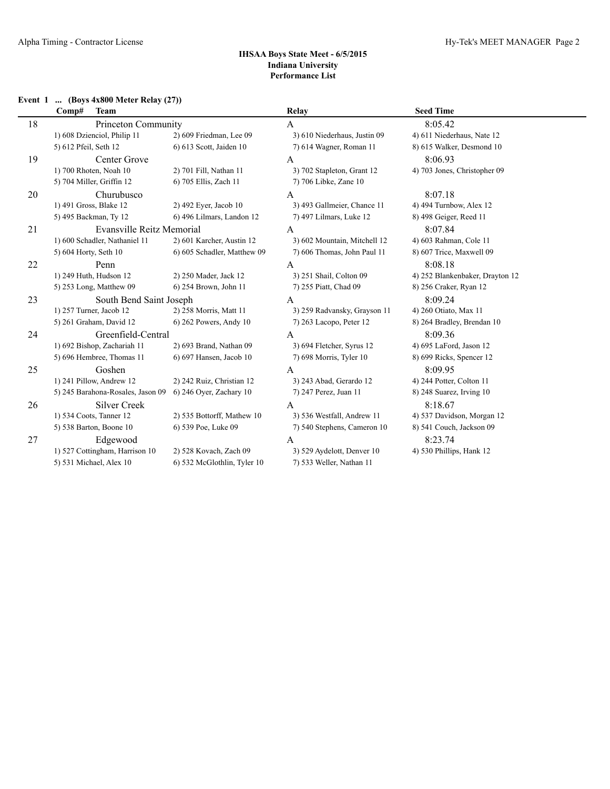# **Event 1 ... (Boys 4x800 Meter Relay (27))**

|    | <b>Team</b><br>Comp#              |                             | Relay                        | <b>Seed Time</b>                |
|----|-----------------------------------|-----------------------------|------------------------------|---------------------------------|
| 18 | Princeton Community               |                             | A                            | 8:05.42                         |
|    | 1) 608 Dzienciol, Philip 11       | 2) 609 Friedman, Lee 09     | 3) 610 Niederhaus, Justin 09 | 4) 611 Niederhaus, Nate 12      |
|    | 5) 612 Pfeil, Seth 12             | 6) 613 Scott, Jaiden 10     | 7) 614 Wagner, Roman 11      | 8) 615 Walker, Desmond 10       |
| 19 | Center Grove                      |                             | $\mathsf{A}$                 | 8:06.93                         |
|    | 1) 700 Rhoten, Noah 10            | 2) 701 Fill, Nathan 11      | 3) 702 Stapleton, Grant 12   | 4) 703 Jones, Christopher 09    |
|    | 5) 704 Miller, Griffin 12         | 6) 705 Ellis, Zach 11       | 7) 706 Libke, Zane 10        |                                 |
| 20 | Churubusco                        |                             | A                            | 8:07.18                         |
|    | 1) 491 Gross, Blake 12            | 2) 492 Eyer, Jacob 10       | 3) 493 Gallmeier, Chance 11  | 4) 494 Turnbow, Alex 12         |
|    | 5) 495 Backman, Ty 12             | 6) 496 Lilmars, Landon 12   | 7) 497 Lilmars, Luke 12      | 8) 498 Geiger, Reed 11          |
| 21 | <b>Evansville Reitz Memorial</b>  |                             | А                            | 8:07.84                         |
|    | 1) 600 Schadler, Nathaniel 11     | 2) 601 Karcher, Austin 12   | 3) 602 Mountain, Mitchell 12 | 4) 603 Rahman, Cole 11          |
|    | 5) 604 Horty, Seth 10             | 6) 605 Schadler, Matthew 09 | 7) 606 Thomas, John Paul 11  | 8) 607 Trice, Maxwell 09        |
| 22 | Penn                              |                             | A                            | 8:08.18                         |
|    | 1) 249 Huth, Hudson 12            | 2) 250 Mader, Jack 12       | 3) 251 Shail, Colton 09      | 4) 252 Blankenbaker, Drayton 12 |
|    | 5) 253 Long, Matthew 09           | 6) 254 Brown, John 11       | 7) 255 Piatt, Chad 09        | 8) 256 Craker, Ryan 12          |
| 23 | South Bend Saint Joseph           |                             | A                            | 8:09.24                         |
|    | 1) 257 Turner, Jacob 12           | 2) 258 Morris, Matt 11      | 3) 259 Radvansky, Grayson 11 | 4) 260 Otiato, Max 11           |
|    | 5) 261 Graham, David 12           | 6) 262 Powers, Andy 10      | 7) 263 Lacopo, Peter 12      | 8) 264 Bradley, Brendan 10      |
| 24 | Greenfield-Central                |                             | A                            | 8:09.36                         |
|    | 1) 692 Bishop, Zachariah 11       | 2) 693 Brand, Nathan 09     | 3) 694 Fletcher, Syrus 12    | 4) 695 LaFord, Jason 12         |
|    | 5) 696 Hembree, Thomas 11         | 6) 697 Hansen, Jacob 10     | 7) 698 Morris, Tyler 10      | 8) 699 Ricks, Spencer 12        |
| 25 | Goshen                            |                             | A                            | 8:09.95                         |
|    | 1) 241 Pillow, Andrew 12          | 2) 242 Ruiz, Christian 12   | 3) 243 Abad, Gerardo 12      | 4) 244 Potter, Colton 11        |
|    | 5) 245 Barahona-Rosales, Jason 09 | 6) 246 Oyer, Zachary 10     | 7) 247 Perez, Juan 11        | 8) 248 Suarez, Irving 10        |
| 26 | <b>Silver Creek</b>               |                             | $\overline{A}$               | 8:18.67                         |
|    | 1) 534 Coots, Tanner 12           | 2) 535 Bottorff, Mathew 10  | 3) 536 Westfall, Andrew 11   | 4) 537 Davidson, Morgan 12      |
|    | 5) 538 Barton, Boone 10           | 6) 539 Poe, Luke 09         | 7) 540 Stephens, Cameron 10  | 8) 541 Couch, Jackson 09        |
| 27 | Edgewood                          |                             | $\mathbf{A}$                 | 8:23.74                         |
|    | 1) 527 Cottingham, Harrison 10    | 2) 528 Kovach, Zach 09      | 3) 529 Aydelott, Denver 10   | 4) 530 Phillips, Hank 12        |
|    | 5) 531 Michael, Alex 10           | 6) 532 McGlothlin, Tyler 10 | 7) 533 Weller, Nathan 11     |                                 |
|    |                                   |                             |                              |                                 |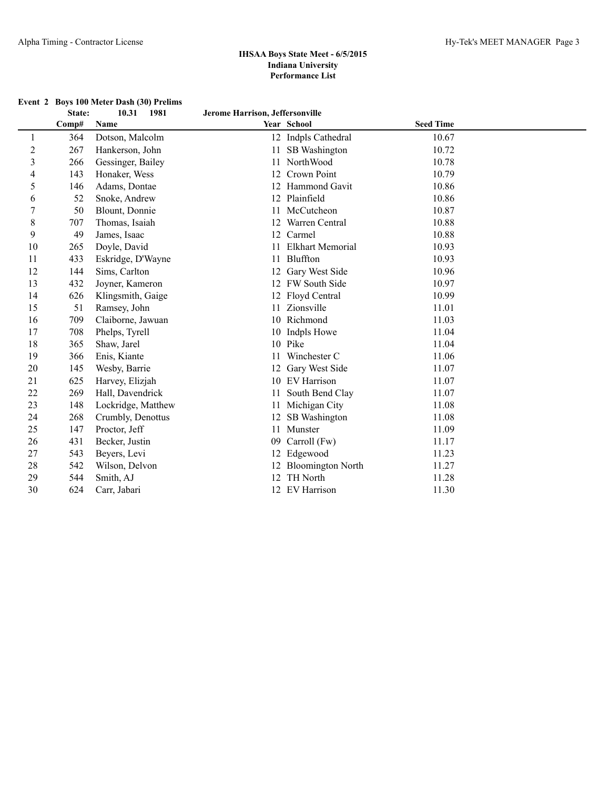**Event 2 Boys 100 Meter Dash (30) Prelims**

|                | State: | 10.31<br>1981      | Jerome Harrison, Jeffersonville |                          |                  |  |
|----------------|--------|--------------------|---------------------------------|--------------------------|------------------|--|
|                | Comp#  | Name               |                                 | Year School              | <b>Seed Time</b> |  |
|                | 364    | Dotson, Malcolm    |                                 | 12 Indpls Cathedral      | 10.67            |  |
| $\overline{2}$ | 267    | Hankerson, John    | 11                              | SB Washington            | 10.72            |  |
| 3              | 266    | Gessinger, Bailey  |                                 | NorthWood                | 10.78            |  |
| 4              | 143    | Honaker, Wess      |                                 | Crown Point              | 10.79            |  |
| 5              | 146    | Adams, Dontae      |                                 | Hammond Gavit            | 10.86            |  |
| 6              | 52     | Snoke, Andrew      |                                 | Plainfield               | 10.86            |  |
| 7              | 50     | Blount, Donnie     | 11                              | McCutcheon               | 10.87            |  |
| 8              | 707    | Thomas, Isaiah     |                                 | Warren Central           | 10.88            |  |
| 9              | 49     | James, Isaac       | 12 <sup>2</sup>                 | Carmel                   | 10.88            |  |
| 10             | 265    | Doyle, David       |                                 | <b>Elkhart Memorial</b>  | 10.93            |  |
| 11             | 433    | Eskridge, D'Wayne  |                                 | Bluffton                 | 10.93            |  |
| 12             | 144    | Sims, Carlton      |                                 | Gary West Side           | 10.96            |  |
| 13             | 432    | Joyner, Kameron    |                                 | 12 FW South Side         | 10.97            |  |
| 14             | 626    | Klingsmith, Gaige  |                                 | Floyd Central            | 10.99            |  |
| 15             | 51     | Ramsey, John       |                                 | Zionsville               | 11.01            |  |
| 16             | 709    | Claiborne, Jawuan  | 10                              | Richmond                 | 11.03            |  |
| 17             | 708    | Phelps, Tyrell     |                                 | Indpls Howe              | 11.04            |  |
| 18             | 365    | Shaw, Jarel        |                                 | 10 Pike                  | 11.04            |  |
| 19             | 366    | Enis, Kiante       | 11                              | Winchester C             | 11.06            |  |
| 20             | 145    | Wesby, Barrie      |                                 | Gary West Side           | 11.07            |  |
| 21             | 625    | Harvey, Elizjah    |                                 | 10 EV Harrison           | 11.07            |  |
| 22             | 269    | Hall, Davendrick   |                                 | South Bend Clay          | 11.07            |  |
| 23             | 148    | Lockridge, Matthew |                                 | Michigan City            | 11.08            |  |
| 24             | 268    | Crumbly, Denottus  | 12                              | SB Washington            | 11.08            |  |
| 25             | 147    | Proctor, Jeff      | 11                              | Munster                  | 11.09            |  |
| 26             | 431    | Becker, Justin     | 09                              | Carroll (Fw)             | 11.17            |  |
| 27             | 543    | Beyers, Levi       | 12                              | Edgewood                 | 11.23            |  |
| 28             | 542    | Wilson, Delvon     |                                 | <b>Bloomington North</b> | 11.27            |  |
| 29             | 544    | Smith, AJ          |                                 | TH North                 | 11.28            |  |
| 30             | 624    | Carr, Jabari       |                                 | 12 EV Harrison           | 11.30            |  |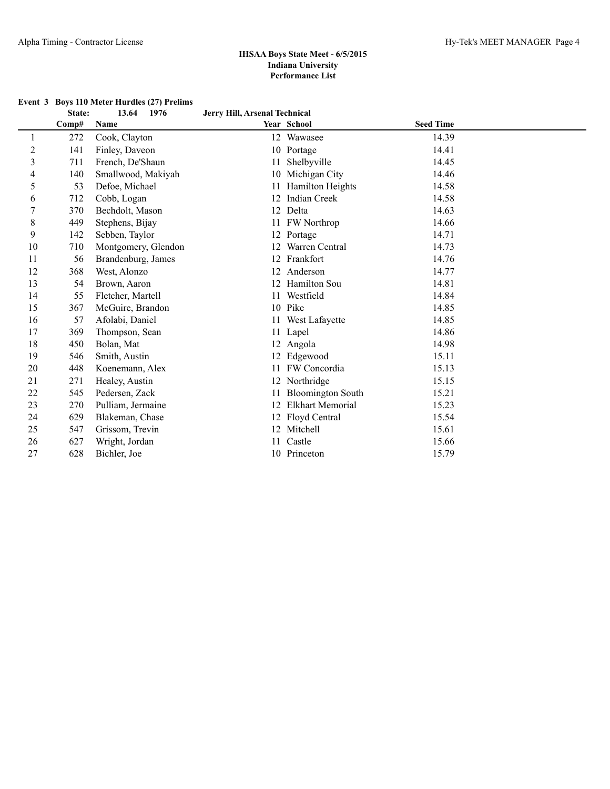| Event 3 Boys 110 Meter Hurdles (27) Prelims |  |
|---------------------------------------------|--|
|                                             |  |

|                | State: | 13.64<br>1976       | Jerry Hill, Arsenal Technical |                          |                  |  |
|----------------|--------|---------------------|-------------------------------|--------------------------|------------------|--|
|                | Comp#  | Name                |                               | Year School              | <b>Seed Time</b> |  |
| 1              | 272    | Cook, Clayton       | 12                            | Wawasee                  | 14.39            |  |
| $\overline{c}$ | 141    | Finley, Daveon      |                               | 10 Portage               | 14.41            |  |
| 3              | 711    | French, De'Shaun    | 11                            | Shelbyville              | 14.45            |  |
| 4              | 140    | Smallwood, Makiyah  |                               | 10 Michigan City         | 14.46            |  |
| 5              | 53     | Defoe, Michael      |                               | Hamilton Heights         | 14.58            |  |
| 6              | 712    | Cobb, Logan         |                               | 12 Indian Creek          | 14.58            |  |
| 7              | 370    | Bechdolt, Mason     | 12                            | Delta                    | 14.63            |  |
| 8              | 449    | Stephens, Bijay     |                               | 11 FW Northrop           | 14.66            |  |
| 9              | 142    | Sebben, Taylor      |                               | 12 Portage               | 14.71            |  |
| 10             | 710    | Montgomery, Glendon | 12                            | Warren Central           | 14.73            |  |
| 11             | 56     | Brandenburg, James  |                               | 12 Frankfort             | 14.76            |  |
| 12             | 368    | West, Alonzo        |                               | 12 Anderson              | 14.77            |  |
| 13             | 54     | Brown, Aaron        |                               | 12 Hamilton Sou          | 14.81            |  |
| 14             | 55     | Fletcher, Martell   |                               | Westfield                | 14.84            |  |
| 15             | 367    | McGuire, Brandon    |                               | 10 Pike                  | 14.85            |  |
| 16             | 57     | Afolabi, Daniel     |                               | West Lafayette           | 14.85            |  |
| 17             | 369    | Thompson, Sean      | 11                            | Lapel                    | 14.86            |  |
| 18             | 450    | Bolan, Mat          | 12                            | Angola                   | 14.98            |  |
| 19             | 546    | Smith, Austin       | 12                            | Edgewood                 | 15.11            |  |
| 20             | 448    | Koenemann, Alex     |                               | 11 FW Concordia          | 15.13            |  |
| 21             | 271    | Healey, Austin      | 12                            | Northridge               | 15.15            |  |
| 22             | 545    | Pedersen, Zack      |                               | <b>Bloomington South</b> | 15.21            |  |
| 23             | 270    | Pulliam, Jermaine   |                               | <b>Elkhart Memorial</b>  | 15.23            |  |
| 24             | 629    | Blakeman, Chase     |                               | 12 Floyd Central         | 15.54            |  |
| 25             | 547    | Grissom, Trevin     | 12                            | Mitchell                 | 15.61            |  |
| 26             | 627    | Wright, Jordan      | 11                            | Castle                   | 15.66            |  |
| 27             | 628    | Bichler, Joe        |                               | 10 Princeton             | 15.79            |  |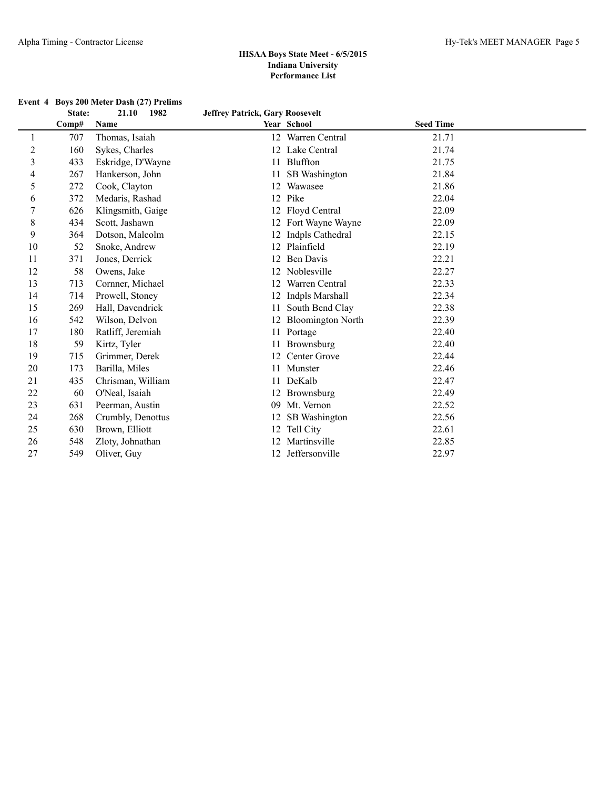|               | Event 4 Boys 200 Meter Dash (27) Prelims |                                 |
|---------------|------------------------------------------|---------------------------------|
| <b>State:</b> | - 1982<br>21.10                          | Jeffrey Patrick, Gary Roosevelt |

|                |       |                   | $\sigma$ chi c $\mu$ i atticia, sai $\mu$ ixoosc $\sigma$ chi |                      |                  |  |
|----------------|-------|-------------------|---------------------------------------------------------------|----------------------|------------------|--|
|                | Comp# | Name              |                                                               | Year School          | <b>Seed Time</b> |  |
| 1              | 707   | Thomas, Isaiah    |                                                               | 12 Warren Central    | 21.71            |  |
| $\overline{c}$ | 160   | Sykes, Charles    |                                                               | 12 Lake Central      | 21.74            |  |
| 3              | 433   | Eskridge, D'Wayne |                                                               | 11 Bluffton          | 21.75            |  |
| 4              | 267   | Hankerson, John   |                                                               | 11 SB Washington     | 21.84            |  |
| 5              | 272   | Cook, Clayton     |                                                               | 12 Wawasee           | 21.86            |  |
| 6              | 372   | Medaris, Rashad   |                                                               | 12 Pike              | 22.04            |  |
| 7              | 626   | Klingsmith, Gaige |                                                               | 12 Floyd Central     | 22.09            |  |
| 8              | 434   | Scott, Jashawn    |                                                               | 12 Fort Wayne Wayne  | 22.09            |  |
| 9              | 364   | Dotson, Malcolm   |                                                               | 12 Indpls Cathedral  | 22.15            |  |
| 10             | 52    | Snoke, Andrew     |                                                               | 12 Plainfield        | 22.19            |  |
| 11             | 371   | Jones, Derrick    |                                                               | 12 Ben Davis         | 22.21            |  |
| 12             | 58    | Owens, Jake       |                                                               | 12 Noblesville       | 22.27            |  |
| 13             | 713   | Cornner, Michael  | 12                                                            | Warren Central       | 22.33            |  |
| 14             | 714   | Prowell, Stoney   |                                                               | 12 Indpls Marshall   | 22.34            |  |
| 15             | 269   | Hall, Davendrick  |                                                               | 11 South Bend Clay   | 22.38            |  |
| 16             | 542   | Wilson, Delvon    |                                                               | 12 Bloomington North | 22.39            |  |
| 17             | 180   | Ratliff, Jeremiah |                                                               | 11 Portage           | 22.40            |  |
| 18             | 59    | Kirtz, Tyler      | 11                                                            | Brownsburg           | 22.40            |  |
| 19             | 715   | Grimmer, Derek    | 12                                                            | Center Grove         | 22.44            |  |
| 20             | 173   | Barilla, Miles    | 11                                                            | Munster              | 22.46            |  |
| 21             | 435   | Chrisman, William |                                                               | 11 DeKalb            | 22.47            |  |
| 22             | 60    | O'Neal, Isaiah    |                                                               | 12 Brownsburg        | 22.49            |  |
| 23             | 631   | Peerman, Austin   |                                                               | 09 Mt. Vernon        | 22.52            |  |
| 24             | 268   | Crumbly, Denottus |                                                               | 12 SB Washington     | 22.56            |  |
| 25             | 630   | Brown, Elliott    |                                                               | 12 Tell City         | 22.61            |  |
| 26             | 548   | Zloty, Johnathan  |                                                               | 12 Martinsville      | 22.85            |  |
| 27             | 549   | Oliver, Guy       | 12                                                            | Jeffersonville       | 22.97            |  |
|                |       |                   |                                                               |                      |                  |  |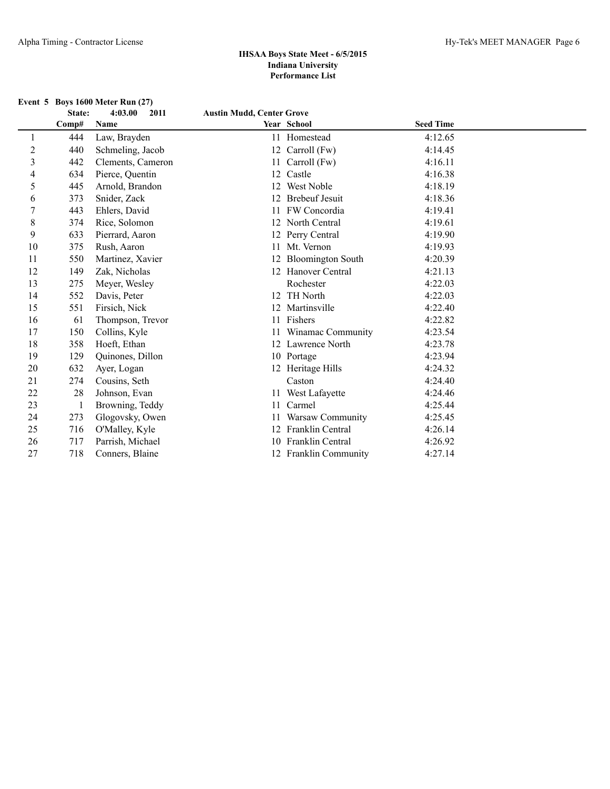| Event 5 Boys $1600$ Meter Run $(27)$ |         |      |                                  |
|--------------------------------------|---------|------|----------------------------------|
| <b>State:</b>                        | 4:03.00 | 2011 | <b>Austin Mudd, Center Grove</b> |

|    | Comp# | Name              |    | Year School           | <b>Seed Time</b> |  |
|----|-------|-------------------|----|-----------------------|------------------|--|
|    | 444   | Law, Brayden      |    | 11 Homestead          | 4:12.65          |  |
| 2  | 440   | Schmeling, Jacob  |    | 12 Carroll (Fw)       | 4:14.45          |  |
| 3  | 442   | Clements, Cameron |    | 11 Carroll (Fw)       | 4:16.11          |  |
| 4  | 634   | Pierce, Quentin   | 12 | Castle                | 4:16.38          |  |
| 5  | 445   | Arnold, Brandon   |    | 12 West Noble         | 4:18.19          |  |
| 6  | 373   | Snider, Zack      |    | 12 Brebeuf Jesuit     | 4:18.36          |  |
| 7  | 443   | Ehlers, David     |    | 11 FW Concordia       | 4:19.41          |  |
| 8  | 374   | Rice, Solomon     |    | 12 North Central      | 4:19.61          |  |
| 9  | 633   | Pierrard, Aaron   |    | 12 Perry Central      | 4:19.90          |  |
| 10 | 375   | Rush, Aaron       |    | 11 Mt. Vernon         | 4:19.93          |  |
| 11 | 550   | Martinez, Xavier  |    | 12 Bloomington South  | 4:20.39          |  |
| 12 | 149   | Zak, Nicholas     |    | 12 Hanover Central    | 4:21.13          |  |
| 13 | 275   | Meyer, Wesley     |    | Rochester             | 4:22.03          |  |
| 14 | 552   | Davis, Peter      |    | 12 TH North           | 4:22.03          |  |
| 15 | 551   | Firsich, Nick     |    | 12 Martinsville       | 4:22.40          |  |
| 16 | 61    | Thompson, Trevor  |    | 11 Fishers            | 4:22.82          |  |
| 17 | 150   | Collins, Kyle     |    | 11 Winamac Community  | 4:23.54          |  |
| 18 | 358   | Hoeft, Ethan      |    | 12 Lawrence North     | 4:23.78          |  |
| 19 | 129   | Quinones, Dillon  |    | 10 Portage            | 4:23.94          |  |
| 20 | 632   | Ayer, Logan       |    | 12 Heritage Hills     | 4:24.32          |  |
| 21 | 274   | Cousins, Seth     |    | Caston                | 4:24.40          |  |
| 22 | 28    | Johnson, Evan     |    | 11 West Lafayette     | 4:24.46          |  |
| 23 | 1     | Browning, Teddy   | 11 | Carmel                | 4:25.44          |  |
| 24 | 273   | Glogovsky, Owen   |    | 11 Warsaw Community   | 4:25.45          |  |
| 25 | 716   | O'Malley, Kyle    |    | 12 Franklin Central   | 4:26.14          |  |
| 26 | 717   | Parrish, Michael  |    | 10 Franklin Central   | 4:26.92          |  |
| 27 | 718   | Conners, Blaine   |    | 12 Franklin Community | 4:27.14          |  |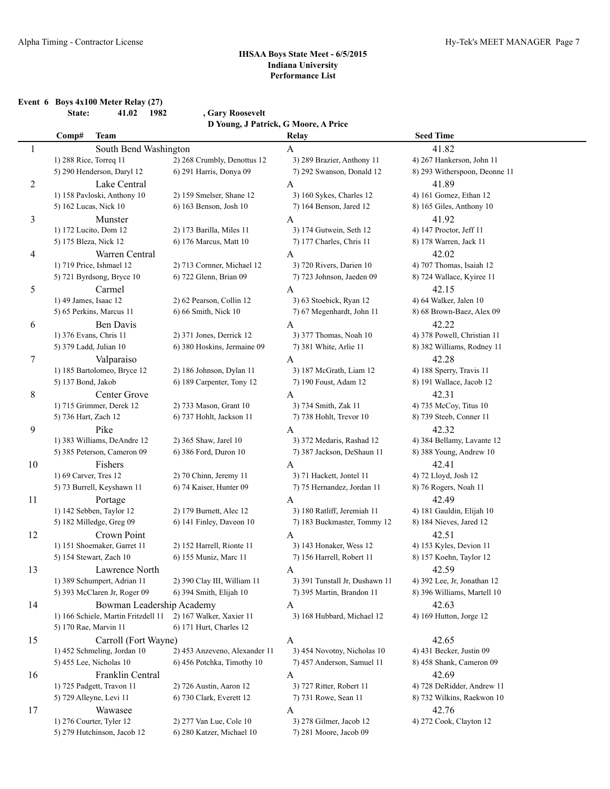**Event 6 Boys 4x100 Meter Relay (27) State: 41.02 1982 , Gary Roosevelt**

**D Young, J Patrick, G Moore, A Price**

|                | Comp#                   | <b>Team</b>                         |                               | Relay                          | <b>Seed Time</b>              |
|----------------|-------------------------|-------------------------------------|-------------------------------|--------------------------------|-------------------------------|
| 1              |                         | South Bend Washington               |                               | A                              | 41.82                         |
|                | 1) 288 Rice, Torreq 11  |                                     | 2) 268 Crumbly, Denottus 12   | 3) 289 Brazier, Anthony 11     | 4) 267 Hankerson, John 11     |
|                |                         | 5) 290 Henderson, Daryl 12          | 6) 291 Harris, Donya 09       | 7) 292 Swanson, Donald 12      | 8) 293 Witherspoon, Deonne 11 |
| $\overline{c}$ |                         | Lake Central                        |                               | A                              | 41.89                         |
|                |                         | 1) 158 Pavloski, Anthony 10         | 2) 159 Smelser, Shane 12      | 3) 160 Sykes, Charles 12       | 4) 161 Gomez, Ethan 12        |
|                | 5) 162 Lucas, Nick 10   |                                     | 6) 163 Benson, Josh 10        | 7) 164 Benson, Jared 12        | 8) 165 Giles, Anthony 10      |
| 3              |                         | Munster                             |                               | A                              | 41.92                         |
|                | 1) 172 Lucito, Dom 12   |                                     | 2) 173 Barilla, Miles 11      | 3) 174 Gutwein, Seth 12        | 4) 147 Proctor, Jeff 11       |
|                | 5) 175 Bleza, Nick 12   |                                     | 6) 176 Marcus, Matt 10        | 7) 177 Charles, Chris 11       | 8) 178 Warren, Jack 11        |
| 4              |                         | Warren Central                      |                               | A                              | 42.02                         |
|                |                         | 1) 719 Price, Ishmael 12            | 2) 713 Cornner, Michael 12    | 3) 720 Rivers, Darien 10       | 4) 707 Thomas, Isaiah 12      |
|                |                         | 5) 721 Byrdsong, Bryce 10           | 6) 722 Glenn, Brian 09        | 7) 723 Johnson, Jaeden 09      | 8) 724 Wallace, Kyiree 11     |
| 5              |                         | Carmel                              |                               | A                              | 42.15                         |
|                | 1) 49 James, Isaac 12   |                                     | 2) 62 Pearson, Collin 12      | 3) 63 Stoebick, Ryan 12        | 4) 64 Walker, Jalen 10        |
|                |                         | 5) 65 Perkins, Marcus 11            | 6) 66 Smith, Nick 10          | 7) 67 Megenhardt, John 11      | 8) 68 Brown-Baez, Alex 09     |
| 6              |                         | Ben Davis                           |                               | A                              | 42.22                         |
|                | 1) 376 Evans, Chris 11  |                                     | 2) 371 Jones, Derrick 12      | 3) 377 Thomas, Noah 10         | 4) 378 Powell, Christian 11   |
|                | 5) 379 Ladd, Julian 10  |                                     | 6) 380 Hoskins, Jermaine 09   | 7) 381 White, Arlie 11         | 8) 382 Williams, Rodney 11    |
| 7              |                         | Valparaiso                          |                               | A                              | 42.28                         |
|                |                         | 1) 185 Bartolomeo, Bryce 12         | 2) 186 Johnson, Dylan 11      | 3) 187 McGrath, Liam 12        | 4) 188 Sperry, Travis 11      |
|                | 5) 137 Bond, Jakob      |                                     | 6) 189 Carpenter, Tony 12     | 7) 190 Foust, Adam 12          | 8) 191 Wallace, Jacob 12      |
| 8              |                         | Center Grove                        |                               | A                              | 42.31                         |
|                |                         | 1) 715 Grimmer, Derek 12            | 2) 733 Mason, Grant 10        | 3) 734 Smith, Zak 11           | 4) 735 McCoy, Titus 10        |
|                | 5) 736 Hart, Zach 12    |                                     | 6) 737 Hohlt, Jackson 11      | 7) 738 Hohlt, Trevor 10        | 8) 739 Steeb, Conner 11       |
| 9              |                         | Pike                                |                               | A                              | 42.32                         |
|                |                         | 1) 383 Williams, DeAndre 12         | 2) 365 Shaw, Jarel 10         | 3) 372 Medaris, Rashad 12      | 4) 384 Bellamy, Lavante 12    |
|                |                         | 5) 385 Peterson, Cameron 09         | 6) 386 Ford, Duron 10         | 7) 387 Jackson, DeShaun 11     | 8) 388 Young, Andrew 10       |
| 10             |                         | Fishers                             |                               | A                              | 42.41                         |
|                | 1) 69 Carver, Tres 12   |                                     | 2) 70 Chinn, Jeremy 11        | 3) 71 Hackett, Jontel 11       | 4) 72 Lloyd, Josh 12          |
|                |                         | 5) 73 Burrell, Keyshawn 11          | 6) 74 Kaiser, Hunter 09       | 7) 75 Hernandez, Jordan 11     | 8) 76 Rogers, Noah 11         |
| 11             |                         | Portage                             |                               | A                              | 42.49                         |
|                |                         | 1) 142 Sebben, Taylor 12            | 2) 179 Burnett, Alec 12       | 3) 180 Ratliff, Jeremiah 11    | 4) 181 Gauldin, Elijah 10     |
|                |                         | 5) 182 Milledge, Greg 09            | 6) 141 Finley, Daveon 10      | 7) 183 Buckmaster, Tommy 12    | 8) 184 Nieves, Jared 12       |
| 12             |                         | Crown Point                         |                               | A                              | 42.51                         |
|                |                         | 1) 151 Shoemaker, Garret 11         | 2) 152 Harrell, Rionte 11     | 3) 143 Honaker, Wess 12        | 4) 153 Kyles, Devion 11       |
|                |                         | 5) 154 Stewart, Zach 10             | 6) 155 Muniz, Marc 11         | 7) 156 Harrell, Robert 11      | 8) 157 Koehn, Taylor 12       |
| 13             |                         | Lawrence North                      |                               | A                              | 42.59                         |
|                |                         | 1) 389 Schumpert, Adrian 11         | 2) 390 Clay III, William 11   | 3) 391 Tunstall Jr, Dushawn 11 | 4) 392 Lee, Jr, Jonathan 12   |
|                |                         | 5) 393 McClaren Jr, Roger 09        | 6) 394 Smith, Elijah 10       | 7) 395 Martin, Brandon 11      | 8) 396 Williams, Martell 10   |
| 14             |                         | Bowman Leadership Academy           |                               | A                              | 42.63                         |
|                |                         | 1) 166 Schiele, Martin Fritzdell 11 | 2) 167 Walker, Xaxier 11      | 3) 168 Hubbard, Michael 12     | 4) 169 Hutton, Jorge 12       |
|                | 5) 170 Rae, Marvin 11   |                                     | 6) 171 Hurt, Charles 12       |                                |                               |
| 15             |                         | Carroll (Fort Wayne)                |                               | A                              | 42.65                         |
|                |                         | 1) 452 Schmeling, Jordan 10         | 2) 453 Anzeveno, Alexander 11 | 3) 454 Novotny, Nicholas 10    | 4) 431 Becker, Justin 09      |
|                |                         | 5) 455 Lee, Nicholas 10             | 6) 456 Potchka, Timothy 10    | 7) 457 Anderson, Samuel 11     | 8) 458 Shank, Cameron 09      |
| 16             |                         | Franklin Central                    |                               | A                              | 42.69                         |
|                |                         | 1) 725 Padgett, Travon 11           | 2) 726 Austin, Aaron 12       | 3) 727 Ritter, Robert 11       | 4) 728 DeRidder, Andrew 11    |
|                | 5) 729 Alleyne, Levi 11 |                                     | 6) 730 Clark, Everett 12      | 7) 731 Rowe, Sean 11           | 8) 732 Wilkins, Raekwon 10    |
| 17             |                         | Wawasee                             |                               | A                              | 42.76                         |
|                |                         | 1) 276 Courter, Tyler 12            | 2) 277 Van Lue, Cole 10       | 3) 278 Gilmer, Jacob 12        | 4) 272 Cook, Clayton 12       |
|                |                         | 5) 279 Hutchinson, Jacob 12         | 6) 280 Katzer, Michael 10     | 7) 281 Moore, Jacob 09         |                               |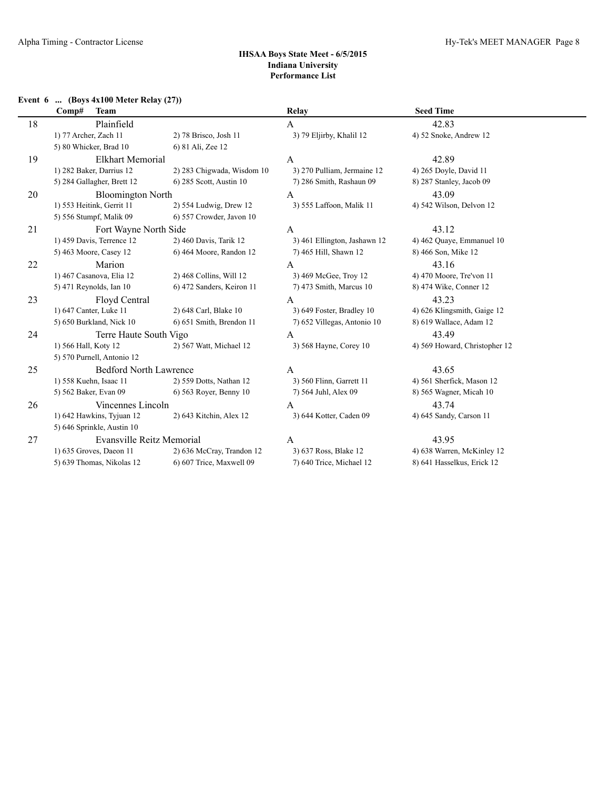## **Event 6 ... (Boys 4x100 Meter Relay (27))**

|    | <b>Team</b><br>Comp#          |                            | <b>Relay</b>                 | <b>Seed Time</b>              |
|----|-------------------------------|----------------------------|------------------------------|-------------------------------|
| 18 | Plainfield                    |                            | $\mathbf{A}$                 | 42.83                         |
|    | 1) 77 Archer, Zach 11         | 2) 78 Brisco, Josh 11      | 3) 79 Eljirby, Khalil 12     | 4) 52 Snoke, Andrew 12        |
|    | 5) 80 Whicker, Brad 10        | 6) 81 Ali, Zee 12          |                              |                               |
| 19 | <b>Elkhart Memorial</b>       |                            | $\mathbf{A}$                 | 42.89                         |
|    | 1) 282 Baker, Darrius 12      | 2) 283 Chigwada, Wisdom 10 | 3) 270 Pulliam, Jermaine 12  | 4) 265 Doyle, David 11        |
|    | 5) 284 Gallagher, Brett 12    | 6) 285 Scott, Austin 10    | 7) 286 Smith, Rashaun 09     | 8) 287 Stanley, Jacob 09      |
| 20 | <b>Bloomington North</b>      |                            | A                            | 43.09                         |
|    | 1) 553 Heitink, Gerrit 11     | 2) 554 Ludwig, Drew 12     | 3) 555 Laffoon, Malik 11     | 4) 542 Wilson, Delvon 12      |
|    | 5) 556 Stumpf, Malik 09       | 6) 557 Crowder, Javon 10   |                              |                               |
| 21 | Fort Wayne North Side         |                            | $\mathbf{A}$                 | 43.12                         |
|    | 1) 459 Davis, Terrence 12     | 2) 460 Davis, Tarik 12     | 3) 461 Ellington, Jashawn 12 | 4) 462 Quaye, Emmanuel 10     |
|    | 5) 463 Moore, Casey 12        | 6) 464 Moore, Randon 12    | 7) 465 Hill, Shawn 12        | 8) 466 Son, Mike 12           |
| 22 | Marion                        |                            | A                            | 43.16                         |
|    | 1) 467 Casanova, Elia 12      | 2) 468 Collins, Will 12    | 3) 469 McGee, Troy 12        | 4) 470 Moore, Tre'von 11      |
|    | 5) 471 Reynolds, Ian 10       | 6) 472 Sanders, Keiron 11  | 7) 473 Smith, Marcus 10      | 8) 474 Wike, Conner 12        |
| 23 | Floyd Central                 |                            | $\mathbf{A}$                 | 43.23                         |
|    | 1) 647 Canter, Luke 11        | 2) 648 Carl, Blake 10      | 3) 649 Foster, Bradley 10    | 4) 626 Klingsmith, Gaige 12   |
|    | 5) 650 Burkland, Nick 10      | 6) 651 Smith, Brendon 11   | 7) 652 Villegas, Antonio 10  | 8) 619 Wallace, Adam 12       |
| 24 | Terre Haute South Vigo        |                            | $\mathbf{A}$                 | 43.49                         |
|    | 1) 566 Hall, Koty 12          | 2) 567 Watt, Michael 12    | 3) 568 Hayne, Corey 10       | 4) 569 Howard, Christopher 12 |
|    | 5) 570 Purnell, Antonio 12    |                            |                              |                               |
| 25 | <b>Bedford North Lawrence</b> |                            | $\mathbf{A}$                 | 43.65                         |
|    | 1) 558 Kuehn, Isaac 11        | 2) 559 Dotts, Nathan 12    | 3) 560 Flinn, Garrett 11     | 4) 561 Sherfick, Mason 12     |
|    | 5) 562 Baker, Evan 09         | 6) 563 Royer, Benny 10     | 7) 564 Juhl, Alex 09         | 8) 565 Wagner, Micah 10       |
| 26 | Vincennes Lincoln             |                            | A                            | 43.74                         |
|    | 1) 642 Hawkins, Tyjuan 12     | 2) 643 Kitchin, Alex 12    | 3) 644 Kotter, Caden 09      | 4) 645 Sandy, Carson 11       |
|    | 5) 646 Sprinkle, Austin 10    |                            |                              |                               |
| 27 | Evansville Reitz Memorial     |                            | $\mathbf{A}$                 | 43.95                         |
|    | 1) 635 Groves, Daeon 11       | 2) 636 McCray, Trandon 12  | 3) 637 Ross, Blake 12        | 4) 638 Warren, McKinley 12    |
|    | 5) 639 Thomas, Nikolas 12     | 6) 607 Trice, Maxwell 09   | 7) 640 Trice, Michael 12     | 8) 641 Hasselkus, Erick 12    |
|    |                               |                            |                              |                               |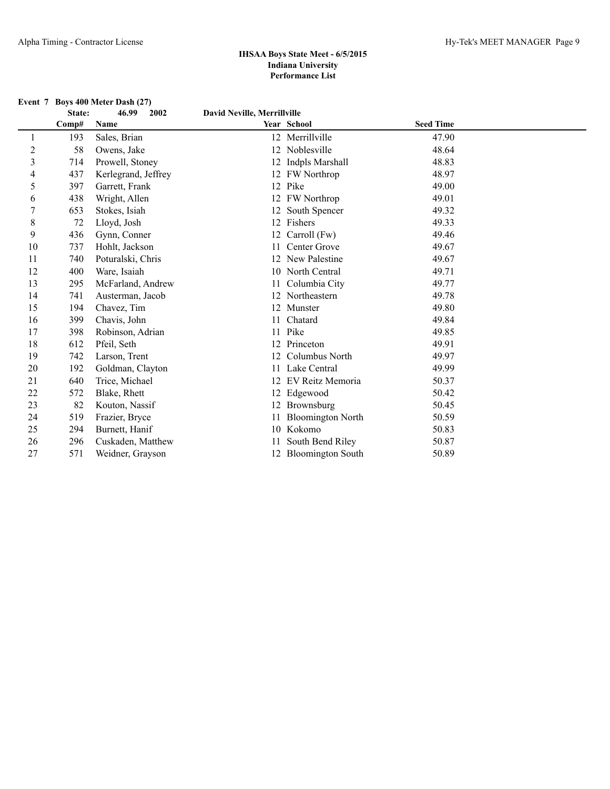#### **Event 7 Boys 400 Meter Dash (27)**

|    | State: | 46.99<br>2002       | David Neville, Merrillville |                          |                  |  |
|----|--------|---------------------|-----------------------------|--------------------------|------------------|--|
|    | Comp#  | Name                |                             | Year School              | <b>Seed Time</b> |  |
| 1  | 193    | Sales, Brian        |                             | 12 Merrillville          | 47.90            |  |
| 2  | 58     | Owens, Jake         |                             | 12 Noblesville           | 48.64            |  |
| 3  | 714    | Prowell, Stoney     |                             | 12 Indpls Marshall       | 48.83            |  |
| 4  | 437    | Kerlegrand, Jeffrey |                             | 12 FW Northrop           | 48.97            |  |
| 5  | 397    | Garrett, Frank      |                             | 12 Pike                  | 49.00            |  |
| 6  | 438    | Wright, Allen       |                             | 12 FW Northrop           | 49.01            |  |
| 7  | 653    | Stokes, Isiah       |                             | 12 South Spencer         | 49.32            |  |
| 8  | 72     | Lloyd, Josh         |                             | 12 Fishers               | 49.33            |  |
| 9  | 436    | Gynn, Conner        |                             | 12 Carroll (Fw)          | 49.46            |  |
| 10 | 737    | Hohlt, Jackson      |                             | Center Grove             | 49.67            |  |
| 11 | 740    | Poturalski, Chris   | 12                          | <b>New Palestine</b>     | 49.67            |  |
| 12 | 400    | Ware, Isaiah        |                             | 10 North Central         | 49.71            |  |
| 13 | 295    | McFarland, Andrew   | 11                          | Columbia City            | 49.77            |  |
| 14 | 741    | Austerman, Jacob    |                             | 12 Northeastern          | 49.78            |  |
| 15 | 194    | Chavez, Tim         |                             | 12 Munster               | 49.80            |  |
| 16 | 399    | Chavis, John        |                             | 11 Chatard               | 49.84            |  |
| 17 | 398    | Robinson, Adrian    | 11                          | Pike                     | 49.85            |  |
| 18 | 612    | Pfeil, Seth         | 12                          | Princeton                | 49.91            |  |
| 19 | 742    | Larson, Trent       | 12                          | Columbus North           | 49.97            |  |
| 20 | 192    | Goldman, Clayton    | 11                          | Lake Central             | 49.99            |  |
| 21 | 640    | Trice, Michael      | 12                          | EV Reitz Memoria         | 50.37            |  |
| 22 | 572    | Blake, Rhett        |                             | 12 Edgewood              | 50.42            |  |
| 23 | 82     | Kouton, Nassif      |                             | 12 Brownsburg            | 50.45            |  |
| 24 | 519    | Frazier, Bryce      |                             | <b>Bloomington North</b> | 50.59            |  |
| 25 | 294    | Burnett, Hanif      |                             | 10 Kokomo                | 50.83            |  |
| 26 | 296    | Cuskaden, Matthew   |                             | South Bend Riley         | 50.87            |  |
| 27 | 571    | Weidner, Grayson    |                             | 12 Bloomington South     | 50.89            |  |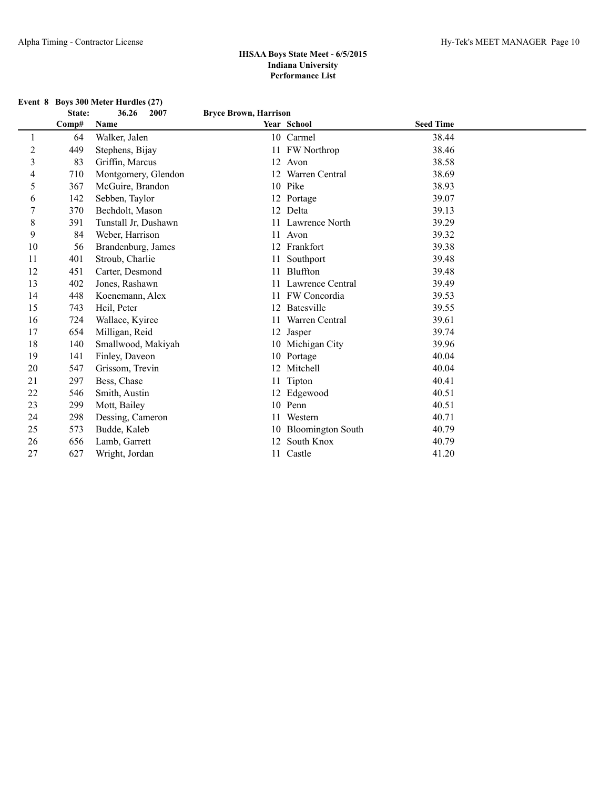**Event 8 Boys 300 Meter Hurdles (27)**

|                | State: | 36.26<br>2007        | <b>Bryce Brown, Harrison</b> |                          |                  |  |
|----------------|--------|----------------------|------------------------------|--------------------------|------------------|--|
|                | Comp#  | Name                 |                              | Year School              | <b>Seed Time</b> |  |
| 1              | 64     | Walker, Jalen        |                              | 10 Carmel                | 38.44            |  |
| $\overline{2}$ | 449    | Stephens, Bijay      |                              | 11 FW Northrop           | 38.46            |  |
| 3              | 83     | Griffin, Marcus      |                              | 12 Avon                  | 38.58            |  |
| 4              | 710    | Montgomery, Glendon  |                              | 12 Warren Central        | 38.69            |  |
| 5              | 367    | McGuire, Brandon     |                              | 10 Pike                  | 38.93            |  |
| 6              | 142    | Sebben, Taylor       |                              | 12 Portage               | 39.07            |  |
| 7              | 370    | Bechdolt, Mason      |                              | 12 Delta                 | 39.13            |  |
| 8              | 391    | Tunstall Jr, Dushawn |                              | 11 Lawrence North        | 39.29            |  |
| 9              | 84     | Weber, Harrison      | 11                           | Avon                     | 39.32            |  |
| 10             | 56     | Brandenburg, James   |                              | 12 Frankfort             | 39.38            |  |
| 11             | 401    | Stroub, Charlie      | 11                           | Southport                | 39.48            |  |
| 12             | 451    | Carter, Desmond      | 11                           | Bluffton                 | 39.48            |  |
| 13             | 402    | Jones, Rashawn       | 11                           | Lawrence Central         | 39.49            |  |
| 14             | 448    | Koenemann, Alex      | 11                           | FW Concordia             | 39.53            |  |
| 15             | 743    | Heil, Peter          | 12                           | Batesville               | 39.55            |  |
| 16             | 724    | Wallace, Kyiree      | 11                           | Warren Central           | 39.61            |  |
| 17             | 654    | Milligan, Reid       |                              | 12 Jasper                | 39.74            |  |
| 18             | 140    | Smallwood, Makiyah   |                              | 10 Michigan City         | 39.96            |  |
| 19             | 141    | Finley, Daveon       |                              | 10 Portage               | 40.04            |  |
| 20             | 547    | Grissom, Trevin      |                              | 12 Mitchell              | 40.04            |  |
| 21             | 297    | Bess, Chase          |                              | 11 Tipton                | 40.41            |  |
| 22             | 546    | Smith, Austin        |                              | 12 Edgewood              | 40.51            |  |
| 23             | 299    | Mott, Bailey         |                              | 10 Penn                  | 40.51            |  |
| 24             | 298    | Dessing, Cameron     | 11                           | Western                  | 40.71            |  |
| 25             | 573    | Budde, Kaleb         | 10                           | <b>Bloomington South</b> | 40.79            |  |
| 26             | 656    | Lamb, Garrett        | 12                           | South Knox               | 40.79            |  |
| 27             | 627    | Wright, Jordan       |                              | 11 Castle                | 41.20            |  |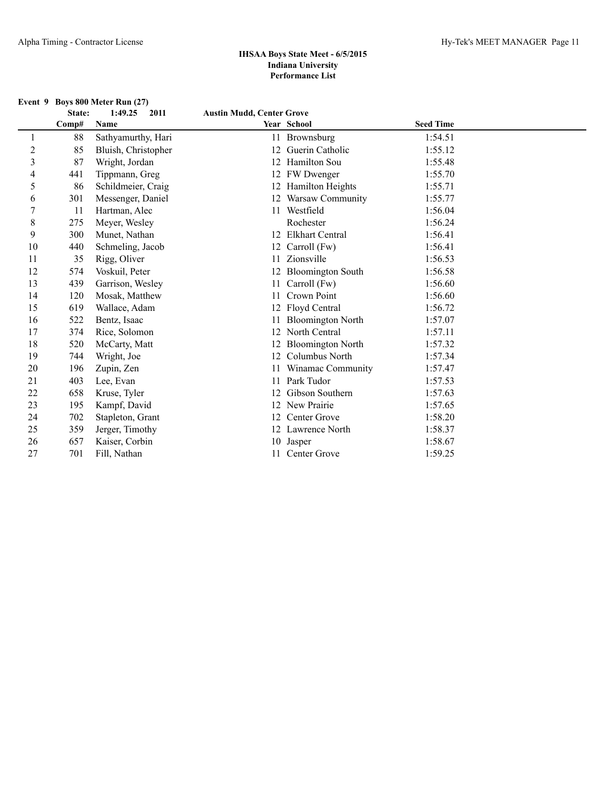|                |        | Event 9 Boys 800 Meter Run (27) |                                  |                          |                  |  |
|----------------|--------|---------------------------------|----------------------------------|--------------------------|------------------|--|
|                | State: | 1:49.25<br>2011                 | <b>Austin Mudd, Center Grove</b> |                          |                  |  |
|                | Comp#  | Name                            |                                  | Year School              | <b>Seed Time</b> |  |
| 1              | 88     | Sathyamurthy, Hari              | 11                               | Brownsburg               | 1:54.51          |  |
| $\overline{c}$ | 85     | Bluish, Christopher             | 12                               | Guerin Catholic          | 1:55.12          |  |
| $\overline{3}$ | 87     | Wright, Jordan                  |                                  | 12 Hamilton Sou          | 1:55.48          |  |
| $\overline{4}$ | 441    | Tippmann, Greg                  |                                  | 12 FW Dwenger            | 1:55.70          |  |
| 5              | 86     | Schildmeier, Craig              |                                  | 12 Hamilton Heights      | 1:55.71          |  |
| 6              | 301    | Messenger, Daniel               |                                  | 12 Warsaw Community      | 1:55.77          |  |
| 7              | 11     | Hartman, Alec                   |                                  | 11 Westfield             | 1:56.04          |  |
| $\,$ 8 $\,$    | 275    | Meyer, Wesley                   |                                  | Rochester                | 1:56.24          |  |
| 9              | 300    | Munet, Nathan                   |                                  | 12 Elkhart Central       | 1:56.41          |  |
| 10             | 440    | Schmeling, Jacob                |                                  | 12 Carroll (Fw)          | 1:56.41          |  |
| 11             | 35     | Rigg, Oliver                    | 11                               | Zionsville               | 1:56.53          |  |
| 12             | 574    | Voskuil, Peter                  | 12                               | <b>Bloomington South</b> | 1:56.58          |  |
| 13             | 439    | Garrison, Wesley                | 11                               | Carroll (Fw)             | 1:56.60          |  |
| 14             | 120    | Mosak, Matthew                  |                                  | Crown Point              | 1:56.60          |  |
| 15             | 619    | Wallace, Adam                   |                                  | 12 Floyd Central         | 1:56.72          |  |
| 16             | 522    | Bentz, Isaac                    |                                  | <b>Bloomington North</b> | 1:57.07          |  |
| 17             | 374    | Rice, Solomon                   |                                  | 12 North Central         | 1:57.11          |  |
| 18             | 520    | McCarty, Matt                   |                                  | 12 Bloomington North     | 1:57.32          |  |
| 19             | 744    | Wright, Joe                     | 12                               | Columbus North           | 1:57.34          |  |
| 20             | 196    | Zupin, Zen                      |                                  | Winamac Community        | 1:57.47          |  |
| 21             | 403    | Lee, Evan                       | 11                               | Park Tudor               | 1:57.53          |  |
| 22             | 658    | Kruse, Tyler                    | 12                               | Gibson Southern          | 1:57.63          |  |
| 23             | 195    | Kampf, David                    |                                  | 12 New Prairie           | 1:57.65          |  |
| 24             | 702    | Stapleton, Grant                | 12                               | Center Grove             | 1:58.20          |  |
| 25             | 359    | Jerger, Timothy                 |                                  | 12 Lawrence North        | 1:58.37          |  |
| 26             | 657    | Kaiser, Corbin                  |                                  | 10 Jasper                | 1:58.67          |  |
| 27             | 701    | Fill, Nathan                    |                                  | 11 Center Grove          | 1:59.25          |  |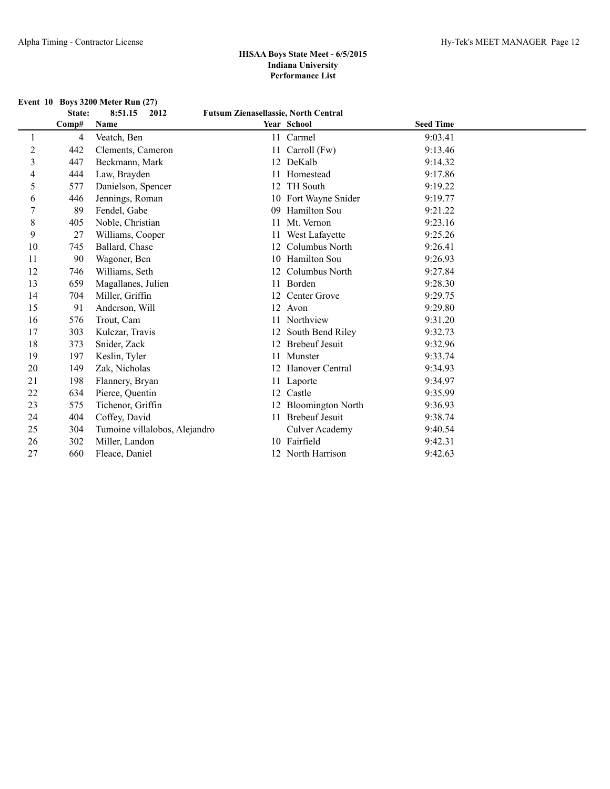| <b>Event 10 Boys 3200 Meter Run (27)</b> |  |  |  |  |  |  |
|------------------------------------------|--|--|--|--|--|--|
|------------------------------------------|--|--|--|--|--|--|

|    | State: | 2012<br>8:51.15               | <b>Futsum Zienasellassie, North Central</b> |                          |                  |  |
|----|--------|-------------------------------|---------------------------------------------|--------------------------|------------------|--|
|    | Comp#  | Name                          |                                             | Year School              | <b>Seed Time</b> |  |
|    | 4      | Veatch, Ben                   | 11                                          | Carmel                   | 9:03.41          |  |
| 2  | 442    | Clements, Cameron             |                                             | Carroll (Fw)             | 9:13.46          |  |
| 3  | 447    | Beckmann, Mark                |                                             | 12 DeKalb                | 9:14.32          |  |
| 4  | 444    | Law, Brayden                  |                                             | Homestead                | 9:17.86          |  |
| 5  | 577    | Danielson, Spencer            | 12                                          | <b>TH</b> South          | 9:19.22          |  |
| 6  | 446    | Jennings, Roman               |                                             | 10 Fort Wayne Snider     | 9:19.77          |  |
|    | 89     | Fendel, Gabe                  | 09                                          | <b>Hamilton Sou</b>      | 9:21.22          |  |
| 8  | 405    | Noble, Christian              |                                             | Mt. Vernon               | 9:23.16          |  |
| 9  | 27     | Williams, Cooper              |                                             | West Lafayette           | 9:25.26          |  |
| 10 | 745    | Ballard, Chase                | 12                                          | Columbus North           | 9:26.41          |  |
| 11 | 90     | Wagoner, Ben                  | 10                                          | Hamilton Sou             | 9:26.93          |  |
| 12 | 746    | Williams, Seth                | 12                                          | Columbus North           | 9:27.84          |  |
| 13 | 659    | Magallanes, Julien            | 11                                          | <b>Borden</b>            | 9:28.30          |  |
| 14 | 704    | Miller, Griffin               | 12                                          | Center Grove             | 9:29.75          |  |
| 15 | 91     | Anderson, Will                |                                             | 12 Avon                  | 9:29.80          |  |
| 16 | 576    | Trout, Cam                    | 11                                          | Northview                | 9:31.20          |  |
| 17 | 303    | Kulczar, Travis               |                                             | South Bend Riley         | 9:32.73          |  |
| 18 | 373    | Snider, Zack                  |                                             | <b>Brebeuf Jesuit</b>    | 9:32.96          |  |
| 19 | 197    | Keslin, Tyler                 | 11                                          | Munster                  | 9:33.74          |  |
| 20 | 149    | Zak, Nicholas                 |                                             | <b>Hanover Central</b>   | 9:34.93          |  |
| 21 | 198    | Flannery, Bryan               | 11                                          | Laporte                  | 9:34.97          |  |
| 22 | 634    | Pierce, Quentin               | 12                                          | Castle                   | 9:35.99          |  |
| 23 | 575    | Tichenor, Griffin             | 12                                          | <b>Bloomington North</b> | 9:36.93          |  |
| 24 | 404    | Coffey, David                 |                                             | 11 Brebeuf Jesuit        | 9:38.74          |  |
| 25 | 304    | Tumoine villalobos, Alejandro |                                             | <b>Culver Academy</b>    | 9:40.54          |  |
| 26 | 302    | Miller, Landon                |                                             | 10 Fairfield             | 9:42.31          |  |
| 27 | 660    | Fleace, Daniel                |                                             | North Harrison           | 9:42.63          |  |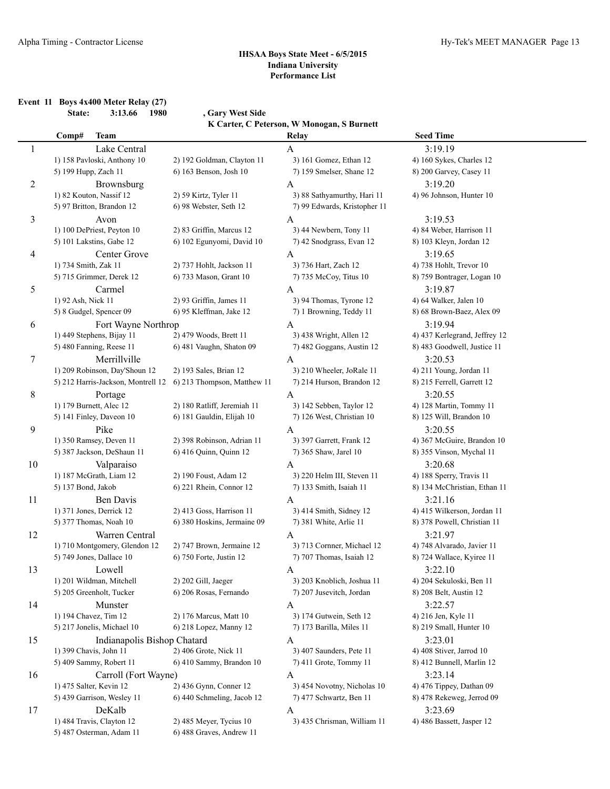**Event 11 Boys 4x400 Meter Relay (27) State: 3:13.66 1980 , Gary West Side**

**K Carter, C Peterson, W Monogan, S Burnett**

|                | Comp#<br><b>Team</b>          |                                                                | Relay                                                  | <b>Seed Time</b>              |  |
|----------------|-------------------------------|----------------------------------------------------------------|--------------------------------------------------------|-------------------------------|--|
| 1              | Lake Central                  |                                                                | $\mathbf{A}$                                           | 3:19.19                       |  |
|                | 1) 158 Pavloski, Anthony 10   | 2) 192 Goldman, Clayton 11                                     | 3) 161 Gomez, Ethan 12                                 | 4) 160 Sykes, Charles 12      |  |
|                | 5) 199 Hupp, Zach 11          | 6) 163 Benson, Josh 10                                         | 7) 159 Smelser, Shane 12                               | 8) 200 Garvey, Casey 11       |  |
| $\overline{c}$ | Brownsburg                    |                                                                | A                                                      | 3:19.20                       |  |
|                | 1) 82 Kouton, Nassif 12       | 2) 59 Kirtz, Tyler 11                                          | 3) 88 Sathyamurthy, Hari 11                            | 4) 96 Johnson, Hunter 10      |  |
|                | 5) 97 Britton, Brandon 12     | 6) 98 Webster, Seth 12                                         | 7) 99 Edwards, Kristopher 11                           |                               |  |
|                |                               |                                                                |                                                        |                               |  |
| 3              | Avon                          |                                                                | A                                                      | 3:19.53                       |  |
|                | 1) 100 DePriest, Peyton 10    | 2) 83 Griffin, Marcus 12                                       | 3) 44 Newbern, Tony 11                                 | 4) 84 Weber, Harrison 11      |  |
|                | 5) 101 Lakstins, Gabe 12      | 6) 102 Egunyomi, David 10                                      | 7) 42 Snodgrass, Evan 12                               | 8) 103 Kleyn, Jordan 12       |  |
| 4              | Center Grove                  |                                                                | A                                                      | 3:19.65                       |  |
|                | 1) 734 Smith, Zak 11          | 2) 737 Hohlt, Jackson 11                                       | 3) 736 Hart, Zach 12                                   | 4) 738 Hohlt, Trevor 10       |  |
|                | 5) 715 Grimmer, Derek 12      | 6) 733 Mason, Grant 10                                         | 7) 735 McCoy, Titus 10                                 | 8) 759 Bontrager, Logan 10    |  |
| 5              | Carmel                        |                                                                | A                                                      | 3:19.87                       |  |
|                | 1) 92 Ash, Nick 11            | 2) 93 Griffin, James 11                                        | 3) 94 Thomas, Tyrone 12                                | 4) 64 Walker, Jalen 10        |  |
|                | 5) 8 Gudgel, Spencer 09       | 6) 95 Kleffman, Jake 12                                        | 7) 1 Browning, Teddy 11                                | 8) 68 Brown-Baez, Alex 09     |  |
| 6              | Fort Wayne Northrop           |                                                                | A                                                      | 3:19.94                       |  |
|                | 1) 449 Stephens, Bijay 11     | 2) 479 Woods, Brett 11                                         | 3) 438 Wright, Allen 12                                | 4) 437 Kerlegrand, Jeffrey 12 |  |
|                | 5) 480 Fanning, Reese 11      | 6) 481 Vaughn, Shaton 09                                       | 7) 482 Goggans, Austin 12                              | 8) 483 Goodwell, Justice 11   |  |
| 7              | Merrillville                  |                                                                | A                                                      | 3:20.53                       |  |
|                | 1) 209 Robinson, Day'Shoun 12 | 2) 193 Sales, Brian 12                                         | 3) 210 Wheeler, JoRale 11                              | 4) 211 Young, Jordan 11       |  |
|                |                               | 5) 212 Harris-Jackson, Montrell 12 6) 213 Thompson, Matthew 11 | 7) 214 Hurson, Brandon 12                              | 8) 215 Ferrell, Garrett 12    |  |
|                |                               |                                                                |                                                        |                               |  |
| 8              | Portage                       |                                                                | A                                                      | 3:20.55                       |  |
|                | 1) 179 Burnett, Alec 12       | 2) 180 Ratliff, Jeremiah 11                                    | 3) 142 Sebben, Taylor 12                               | 4) 128 Martin, Tommy 11       |  |
|                | 5) 141 Finley, Daveon 10      | 6) 181 Gauldin, Elijah 10                                      | 7) 126 West, Christian 10                              | 8) 125 Will, Brandon 10       |  |
| 9              | Pike                          |                                                                | A                                                      | 3:20.55                       |  |
|                | 1) 350 Ramsey, Deven 11       | 2) 398 Robinson, Adrian 11                                     | 3) 397 Garrett, Frank 12                               | 4) 367 McGuire, Brandon 10    |  |
|                | 5) 387 Jackson, DeShaun 11    | 6) 416 Quinn, Quinn 12                                         | 7) 365 Shaw, Jarel 10                                  | 8) 355 Vinson, Mychal 11      |  |
| 10             | Valparaiso                    |                                                                | A                                                      | 3:20.68                       |  |
|                | 1) 187 McGrath, Liam 12       | 2) 190 Foust, Adam 12                                          | 3) 220 Helm III, Steven 11                             | 4) 188 Sperry, Travis 11      |  |
|                | 5) 137 Bond, Jakob            | 6) 221 Rhein, Connor 12                                        | 7) 133 Smith, Isaiah 11                                | 8) 134 McChristian, Ethan 11  |  |
| 11             | Ben Davis                     |                                                                | A                                                      | 3:21.16                       |  |
|                | 1) 371 Jones, Derrick 12      | 2) 413 Goss, Harrison 11                                       | 3) 414 Smith, Sidney 12                                | 4) 415 Wilkerson, Jordan 11   |  |
|                | 5) 377 Thomas, Noah 10        | 6) 380 Hoskins, Jermaine 09                                    | 7) 381 White, Arlie 11                                 | 8) 378 Powell, Christian 11   |  |
| 12             | Warren Central                |                                                                | A                                                      | 3:21.97                       |  |
|                | 1) 710 Montgomery, Glendon 12 | 2) 747 Brown, Jermaine 12                                      | 3) 713 Cornner, Michael 12                             | 4) 748 Alvarado, Javier 11    |  |
|                | 5) 749 Jones, Dallace 10      | 6) 750 Forte, Justin 12                                        | 7) 707 Thomas, Isaiah 12                               | 8) 724 Wallace, Kyiree 11     |  |
| 13             | Lowell                        |                                                                | A                                                      | 3:22.10                       |  |
|                |                               | 2) 202 Gill, Jaeger                                            |                                                        | 4) 204 Sekuloski, Ben 11      |  |
|                | 1) 201 Wildman, Mitchell      |                                                                | 3) 203 Knoblich, Joshua 11<br>7) 207 Jusevitch, Jordan | 8) 208 Belt, Austin 12        |  |
|                | 5) 205 Greenholt, Tucker      | 6) 206 Rosas, Fernando                                         |                                                        |                               |  |
| 14             | Munster                       |                                                                | A                                                      | 3:22.57                       |  |
|                | 1) 194 Chavez, Tim 12         | 2) 176 Marcus, Matt 10                                         | 3) 174 Gutwein, Seth 12                                | 4) 216 Jen, Kyle 11           |  |
|                | 5) 217 Jonelis, Michael 10    | 6) 218 Lopez, Manny 12                                         | 7) 173 Barilla, Miles 11                               | 8) 219 Small, Hunter 10       |  |
| 15             | Indianapolis Bishop Chatard   |                                                                | A                                                      | 3:23.01                       |  |
|                | 1) 399 Chavis, John 11        | 2) 406 Grote, Nick 11                                          | 3) 407 Saunders, Pete 11                               | 4) 408 Stiver, Jarrod 10      |  |
|                | 5) 409 Sammy, Robert 11       | 6) 410 Sammy, Brandon 10                                       | 7) 411 Grote, Tommy 11                                 | 8) 412 Bunnell, Marlin 12     |  |
| 16             | Carroll (Fort Wayne)          |                                                                | A                                                      | 3:23.14                       |  |
|                | 1) 475 Salter, Kevin 12       | 2) 436 Gynn, Conner 12                                         | 3) 454 Novotny, Nicholas 10                            | 4) 476 Tippey, Dathan 09      |  |
|                | 5) 439 Garrison, Wesley 11    | 6) 440 Schmeling, Jacob 12                                     | 7) 477 Schwartz, Ben 11                                | 8) 478 Rekeweg, Jerrod 09     |  |
| 17             | DeKalb                        |                                                                | A                                                      | 3:23.69                       |  |
|                | 1) 484 Travis, Clayton 12     | 2) 485 Meyer, Tycius 10                                        | 3) 435 Chrisman, William 11                            | 4) 486 Bassett, Jasper 12     |  |
|                | 5) 487 Osterman, Adam 11      | 6) 488 Graves, Andrew 11                                       |                                                        |                               |  |
|                |                               |                                                                |                                                        |                               |  |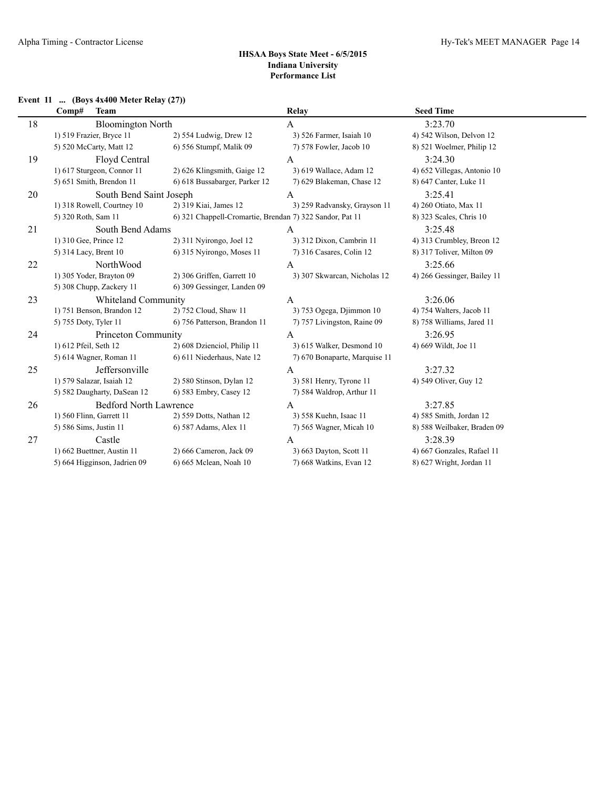# **Event 11 ... (Boys 4x400 Meter Relay (27))**

|    | <b>Team</b><br>Comp#          |                                                          | Relay                         | <b>Seed Time</b>            |
|----|-------------------------------|----------------------------------------------------------|-------------------------------|-----------------------------|
| 18 | <b>Bloomington North</b>      |                                                          | A                             | 3:23.70                     |
|    | 1) 519 Frazier, Bryce 11      | 2) 554 Ludwig, Drew 12                                   | 3) 526 Farmer, Isaiah 10      | 4) 542 Wilson, Delvon 12    |
|    | 5) 520 McCarty, Matt 12       | 6) 556 Stumpf, Malik 09                                  | 7) 578 Fowler, Jacob 10       | 8) 521 Woelmer, Philip 12   |
| 19 | Floyd Central                 |                                                          | $\mathsf{A}$                  | 3:24.30                     |
|    | 1) 617 Sturgeon, Connor 11    | 2) 626 Klingsmith, Gaige 12                              | 3) 619 Wallace, Adam 12       | 4) 652 Villegas, Antonio 10 |
|    | 5) 651 Smith, Brendon 11      | 6) 618 Bussabarger, Parker 12                            | 7) 629 Blakeman, Chase 12     | 8) 647 Canter, Luke 11      |
| 20 | South Bend Saint Joseph       |                                                          | A                             | 3:25.41                     |
|    | 1) 318 Rowell, Courtney 10    | 2) 319 Kiai, James 12                                    | 3) 259 Radvansky, Grayson 11  | 4) 260 Otiato, Max 11       |
|    | 5) 320 Roth, Sam 11           | 6) 321 Chappell-Cromartie, Brendan 7) 322 Sandor, Pat 11 |                               | 8) 323 Scales, Chris 10     |
| 21 | South Bend Adams              |                                                          | A                             | 3:25.48                     |
|    | 1) 310 Gee, Prince 12         | 2) 311 Nyirongo, Joel 12                                 | 3) 312 Dixon, Cambrin 11      | 4) 313 Crumbley, Breon 12   |
|    | 5) 314 Lacy, Brent 10         | 6) 315 Nyirongo, Moses 11                                | 7) 316 Casares, Colin 12      | 8) 317 Toliver, Milton 09   |
| 22 | NorthWood                     |                                                          | A                             | 3:25.66                     |
|    | 1) 305 Yoder, Brayton 09      | 2) 306 Griffen, Garrett 10                               | 3) 307 Skwarcan, Nicholas 12  | 4) 266 Gessinger, Bailey 11 |
|    | 5) 308 Chupp, Zackery 11      | 6) 309 Gessinger, Landen 09                              |                               |                             |
| 23 | Whiteland Community           |                                                          | A                             | 3:26.06                     |
|    | 1) 751 Benson, Brandon 12     | 2) 752 Cloud, Shaw 11                                    | 3) 753 Ogega, Djimmon 10      | 4) 754 Walters, Jacob 11    |
|    | 5) 755 Doty, Tyler 11         | 6) 756 Patterson, Brandon 11                             | 7) 757 Livingston, Raine 09   | 8) 758 Williams, Jared 11   |
| 24 | Princeton Community           |                                                          | A                             | 3:26.95                     |
|    | 1) 612 Pfeil, Seth 12         | 2) 608 Dzienciol, Philip 11                              | 3) 615 Walker, Desmond 10     | 4) 669 Wildt, Joe 11        |
|    | 5) 614 Wagner, Roman 11       | 6) 611 Niederhaus, Nate 12                               | 7) 670 Bonaparte, Marquise 11 |                             |
| 25 | Jeffersonville                |                                                          | A                             | 3:27.32                     |
|    | 1) 579 Salazar, Isaiah 12     | 2) 580 Stinson, Dylan 12                                 | 3) 581 Henry, Tyrone 11       | 4) 549 Oliver, Guy 12       |
|    | 5) 582 Daugharty, DaSean 12   | 6) 583 Embry, Casey 12                                   | 7) 584 Waldrop, Arthur 11     |                             |
| 26 | <b>Bedford North Lawrence</b> |                                                          | A                             | 3:27.85                     |
|    | 1) 560 Flinn, Garrett 11      | 2) 559 Dotts, Nathan 12                                  | 3) 558 Kuehn, Isaac 11        | 4) 585 Smith, Jordan 12     |
|    | 5) 586 Sims, Justin 11        | 6) 587 Adams, Alex 11                                    | 7) 565 Wagner, Micah 10       | 8) 588 Weilbaker, Braden 09 |
| 27 | Castle                        |                                                          | $\mathsf{A}$                  | 3:28.39                     |
|    | 1) 662 Buettner, Austin 11    | 2) 666 Cameron, Jack 09                                  | 3) 663 Dayton, Scott 11       | 4) 667 Gonzales, Rafael 11  |
|    | 5) 664 Higginson, Jadrien 09  | 6) 665 Mclean, Noah 10                                   | 7) 668 Watkins, Evan 12       | 8) 627 Wright, Jordan 11    |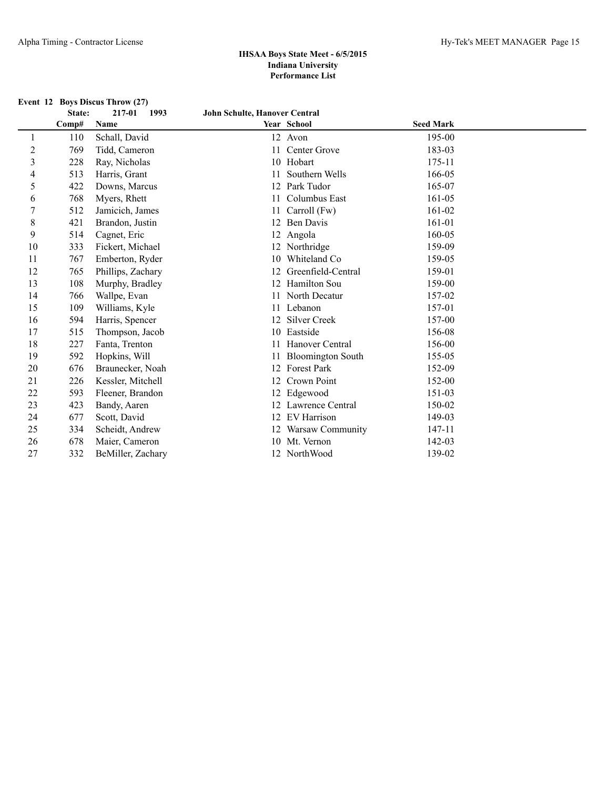|                |        | Event 12 Boys Discus Throw (27) |                               |                          |                  |  |
|----------------|--------|---------------------------------|-------------------------------|--------------------------|------------------|--|
|                | State: | 217-01<br>1993                  | John Schulte, Hanover Central |                          |                  |  |
|                | Comp#  | Name                            |                               | Year School              | <b>Seed Mark</b> |  |
| 1              | 110    | Schall, David                   |                               | 12 Avon                  | 195-00           |  |
| $\overline{c}$ | 769    | Tidd, Cameron                   | 11                            | Center Grove             | 183-03           |  |
| 3              | 228    | Ray, Nicholas                   | 10                            | Hobart                   | 175-11           |  |
| 4              | 513    | Harris, Grant                   | 11                            | Southern Wells           | 166-05           |  |
| 5              | 422    | Downs, Marcus                   | 12                            | Park Tudor               | 165-07           |  |
| 6              | 768    | Myers, Rhett                    | 11                            | Columbus East            | 161-05           |  |
| 7              | 512    | Jamicich, James                 | 11                            | Carroll (Fw)             | 161-02           |  |
| 8              | 421    | Brandon, Justin                 | 12                            | <b>Ben Davis</b>         | 161-01           |  |
| 9              | 514    | Cagnet, Eric                    |                               | 12 Angola                | 160-05           |  |
| 10             | 333    | Fickert, Michael                |                               | 12 Northridge            | 159-09           |  |
| 11             | 767    | Emberton, Ryder                 | 10                            | Whiteland Co.            | 159-05           |  |
| 12             | 765    | Phillips, Zachary               | 12                            | Greenfield-Central       | 159-01           |  |
| 13             | 108    | Murphy, Bradley                 | 12                            | Hamilton Sou             | 159-00           |  |
| 14             | 766    | Wallpe, Evan                    | 11                            | North Decatur            | 157-02           |  |
| 15             | 109    | Williams, Kyle                  | 11                            | Lebanon                  | 157-01           |  |
| 16             | 594    | Harris, Spencer                 | 12                            | <b>Silver Creek</b>      | 157-00           |  |
| 17             | 515    | Thompson, Jacob                 | 10                            | Eastside                 | 156-08           |  |
| 18             | 227    | Fanta, Trenton                  |                               | Hanover Central          | 156-00           |  |
| 19             | 592    | Hopkins, Will                   | 11                            | <b>Bloomington South</b> | 155-05           |  |
| 20             | 676    | Braunecker, Noah                | 12                            | <b>Forest Park</b>       | 152-09           |  |
| 21             | 226    | Kessler, Mitchell               | 12                            | Crown Point              | 152-00           |  |
| 22             | 593    | Fleener, Brandon                |                               | 12 Edgewood              | 151-03           |  |
| 23             | 423    | Bandy, Aaren                    |                               | 12 Lawrence Central      | 150-02           |  |
| 24             | 677    | Scott, David                    | 12                            | <b>EV</b> Harrison       | 149-03           |  |
| 25             | 334    | Scheidt, Andrew                 |                               | 12 Warsaw Community      | 147-11           |  |
| 26             | 678    | Maier, Cameron                  | 10                            | Mt. Vernon               | 142-03           |  |
| 27             | 332    | BeMiller, Zachary               |                               | 12 NorthWood             | 139-02           |  |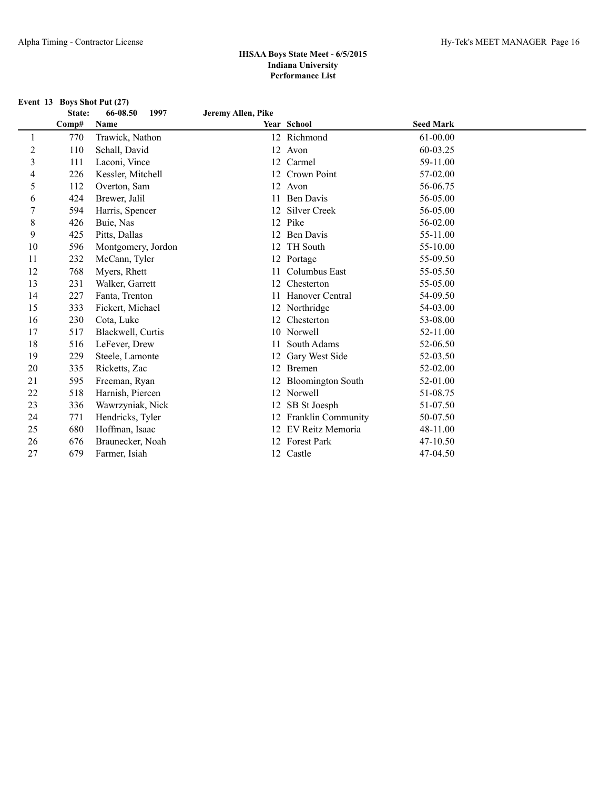|                  | Event 13 Boys Shot Put (27) |                    |                    |                       |                  |  |
|------------------|-----------------------------|--------------------|--------------------|-----------------------|------------------|--|
|                  | State:                      | 1997<br>66-08.50   | Jeremy Allen, Pike |                       |                  |  |
|                  | Comp#                       | Name               |                    | Year School           | <b>Seed Mark</b> |  |
| 1                | 770                         | Trawick, Nathon    |                    | 12 Richmond           | 61-00.00         |  |
| $\sqrt{2}$       | 110                         | Schall, David      |                    | 12 Avon               | 60-03.25         |  |
| $\mathfrak{Z}$   | 111                         | Laconi, Vince      |                    | 12 Carmel             | 59-11.00         |  |
| 4                | 226                         | Kessler, Mitchell  |                    | 12 Crown Point        | 57-02.00         |  |
| 5                | 112                         | Overton, Sam       |                    | 12 Avon               | 56-06.75         |  |
| 6                | 424                         | Brewer, Jalil      |                    | 11 Ben Davis          | 56-05.00         |  |
| $\boldsymbol{7}$ | 594                         | Harris, Spencer    |                    | 12 Silver Creek       | 56-05.00         |  |
| $\,$ $\,$        | 426                         | Buie, Nas          |                    | 12 Pike               | 56-02.00         |  |
| 9                | 425                         | Pitts, Dallas      |                    | 12 Ben Davis          | 55-11.00         |  |
| 10               | 596                         | Montgomery, Jordon | 12                 | <b>TH</b> South       | 55-10.00         |  |
| 11               | 232                         | McCann, Tyler      |                    | 12 Portage            | 55-09.50         |  |
| 12               | 768                         | Myers, Rhett       | 11                 | Columbus East         | 55-05.50         |  |
| 13               | 231                         | Walker, Garrett    | 12                 | Chesterton            | 55-05.00         |  |
| 14               | 227                         | Fanta, Trenton     | 11                 | Hanover Central       | 54-09.50         |  |
| 15               | 333                         | Fickert, Michael   | 12                 | Northridge            | 54-03.00         |  |
| 16               | 230                         | Cota, Luke         | 12                 | Chesterton            | 53-08.00         |  |
| 17               | 517                         | Blackwell, Curtis  |                    | 10 Norwell            | 52-11.00         |  |
| 18               | 516                         | LeFever, Drew      | 11                 | South Adams           | 52-06.50         |  |
| 19               | 229                         | Steele, Lamonte    | 12                 | Gary West Side        | 52-03.50         |  |
| 20               | 335                         | Ricketts, Zac      |                    | 12 Bremen             | 52-02.00         |  |
| 21               | 595                         | Freeman, Ryan      |                    | 12 Bloomington South  | 52-01.00         |  |
| 22               | 518                         | Harnish, Piercen   |                    | 12 Norwell            | 51-08.75         |  |
| 23               | 336                         | Wawrzyniak, Nick   | 12                 | SB St Joesph          | 51-07.50         |  |
| 24               | 771                         | Hendricks, Tyler   |                    | 12 Franklin Community | 50-07.50         |  |
| 25               | 680                         | Hoffman, Isaac     |                    | 12 EV Reitz Memoria   | 48-11.00         |  |
| 26               | 676                         | Braunecker, Noah   |                    | 12 Forest Park        | 47-10.50         |  |
| 27               | 679                         | Farmer. Isiah      |                    | 12 Castle             | 47-04.50         |  |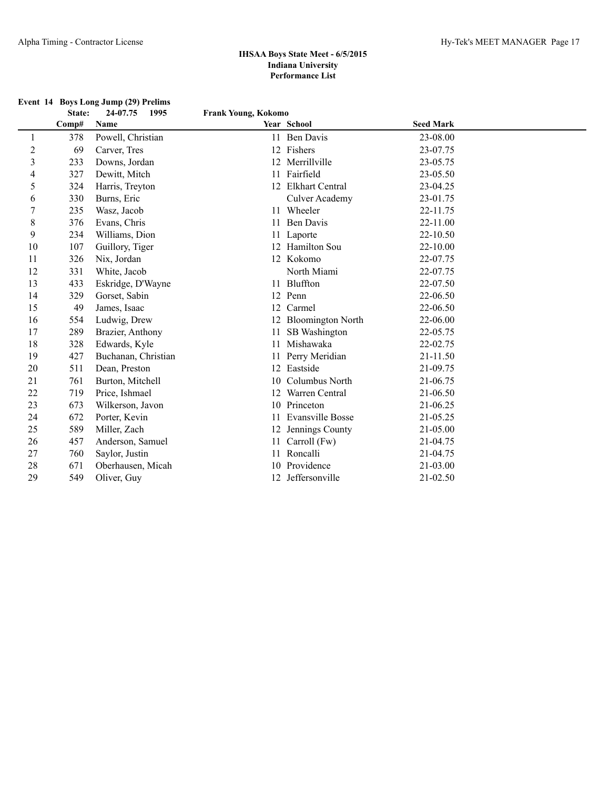|                         |        | Event 14 Boys Long Jump (29) Prelims |                     |                         |                  |  |
|-------------------------|--------|--------------------------------------|---------------------|-------------------------|------------------|--|
|                         | State: | 24-07.75<br>1995                     | Frank Young, Kokomo |                         |                  |  |
|                         | Comp#  | Name                                 |                     | Year School             | <b>Seed Mark</b> |  |
| $\mathbf{1}$            | 378    | Powell, Christian                    |                     | 11 Ben Davis            | 23-08.00         |  |
| $\overline{c}$          | 69     | Carver, Tres                         |                     | 12 Fishers              | 23-07.75         |  |
| $\overline{\mathbf{3}}$ | 233    | Downs, Jordan                        |                     | 12 Merrillville         | 23-05.75         |  |
| 4                       | 327    | Dewitt, Mitch                        |                     | 11 Fairfield            | 23-05.50         |  |
| 5                       | 324    | Harris, Treyton                      |                     | 12 Elkhart Central      | 23-04.25         |  |
| 6                       | 330    | Burns, Eric                          |                     | Culver Academy          | 23-01.75         |  |
| $\tau$                  | 235    | Wasz, Jacob                          |                     | 11 Wheeler              | 22-11.75         |  |
| 8                       | 376    | Evans, Chris                         |                     | 11 Ben Davis            | 22-11.00         |  |
| 9                       | 234    | Williams, Dion                       |                     | 11 Laporte              | 22-10.50         |  |
| 10                      | 107    | Guillory, Tiger                      |                     | 12 Hamilton Sou         | 22-10.00         |  |
| 11                      | 326    | Nix, Jordan                          |                     | 12 Kokomo               | 22-07.75         |  |
| 12                      | 331    | White, Jacob                         |                     | North Miami             | 22-07.75         |  |
| 13                      | 433    | Eskridge, D'Wayne                    |                     | 11 Bluffton             | 22-07.50         |  |
| 14                      | 329    | Gorset, Sabin                        |                     | 12 Penn                 | 22-06.50         |  |
| 15                      | 49     | James, Isaac                         |                     | 12 Carmel               | 22-06.50         |  |
| 16                      | 554    | Ludwig, Drew                         |                     | 12 Bloomington North    | 22-06.00         |  |
| 17                      | 289    | Brazier, Anthony                     | 11                  | SB Washington           | 22-05.75         |  |
| 18                      | 328    | Edwards, Kyle                        | 11                  | Mishawaka               | 22-02.75         |  |
| 19                      | 427    | Buchanan, Christian                  |                     | Perry Meridian          | 21-11.50         |  |
| 20                      | 511    | Dean, Preston                        | 12                  | Eastside                | 21-09.75         |  |
| 21                      | 761    | Burton, Mitchell                     | 10                  | Columbus North          | 21-06.75         |  |
| 22                      | 719    | Price, Ishmael                       |                     | 12 Warren Central       | 21-06.50         |  |
| 23                      | 673    | Wilkerson, Javon                     |                     | 10 Princeton            | 21-06.25         |  |
| 24                      | 672    | Porter, Kevin                        |                     | <b>Evansville Bosse</b> | 21-05.25         |  |
| 25                      | 589    | Miller, Zach                         | 12                  | Jennings County         | 21-05.00         |  |
| 26                      | 457    | Anderson, Samuel                     | 11                  | Carroll (Fw)            | 21-04.75         |  |
| 27                      | 760    | Saylor, Justin                       |                     | 11 Roncalli             | 21-04.75         |  |
| 28                      | 671    | Oberhausen, Micah                    |                     | 10 Providence           | 21-03.00         |  |
| 29                      | 549    | Oliver, Guy                          |                     | 12 Jeffersonville       | 21-02.50         |  |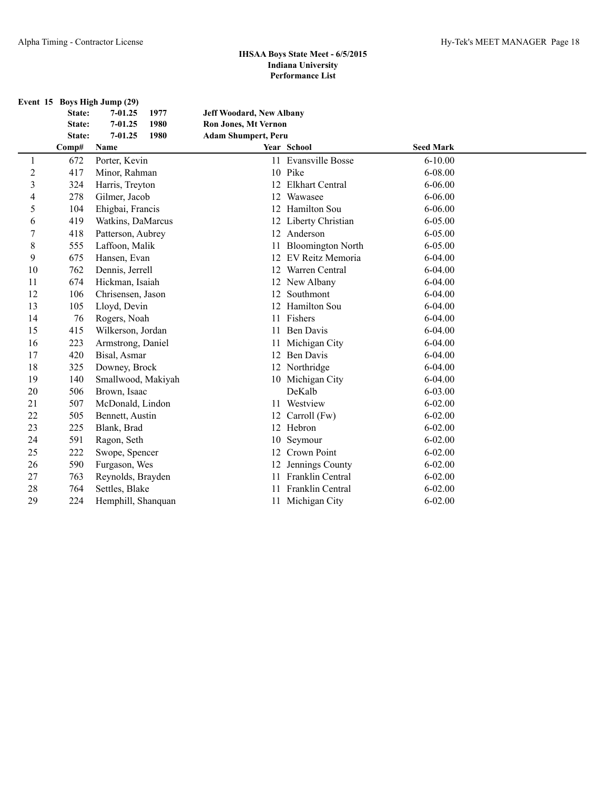|                         |        | Event 15 Boys High Jump (29) |                                 |                          |                  |  |
|-------------------------|--------|------------------------------|---------------------------------|--------------------------|------------------|--|
|                         | State: | 1977<br>7-01.25              | <b>Jeff Woodard, New Albany</b> |                          |                  |  |
|                         | State: | 7-01.25<br>1980              | <b>Ron Jones, Mt Vernon</b>     |                          |                  |  |
|                         | State: | 7-01.25<br>1980              | <b>Adam Shumpert, Peru</b>      |                          |                  |  |
|                         | Comp#  | Name                         |                                 | Year School              | <b>Seed Mark</b> |  |
| 1                       | 672    | Porter, Kevin                |                                 | 11 Evansville Bosse      | $6 - 10.00$      |  |
| $\overline{c}$          | 417    | Minor, Rahman                |                                 | 10 Pike                  | 6-08.00          |  |
| $\overline{\mathbf{3}}$ | 324    | Harris, Treyton              |                                 | 12 Elkhart Central       | $6 - 06.00$      |  |
| 4                       | 278    | Gilmer, Jacob                |                                 | 12 Wawasee               | $6 - 06.00$      |  |
| 5                       | 104    | Ehigbai, Francis             |                                 | 12 Hamilton Sou          | $6 - 06.00$      |  |
| 6                       | 419    | Watkins, DaMarcus            |                                 | 12 Liberty Christian     | 6-05.00          |  |
| 7                       | 418    | Patterson, Aubrey            |                                 | 12 Anderson              | 6-05.00          |  |
| 8                       | 555    | Laffoon, Malik               | 11                              | <b>Bloomington North</b> | $6 - 05.00$      |  |
| 9                       | 675    | Hansen, Evan                 |                                 | 12 EV Reitz Memoria      | $6-04.00$        |  |
| 10                      | 762    | Dennis, Jerrell              | 12                              | Warren Central           | $6 - 04.00$      |  |
| 11                      | 674    | Hickman, Isaiah              |                                 | 12 New Albany            | $6 - 04.00$      |  |
| 12                      | 106    | Chrisensen, Jason            | 12                              | Southmont                | $6 - 04.00$      |  |
| 13                      | 105    | Lloyd, Devin                 |                                 | 12 Hamilton Sou          | $6 - 04.00$      |  |
| 14                      | 76     | Rogers, Noah                 | 11                              | Fishers                  | $6 - 04.00$      |  |
| 15                      | 415    | Wilkerson, Jordan            |                                 | 11 Ben Davis             | $6 - 04.00$      |  |
| 16                      | 223    | Armstrong, Daniel            | 11                              | Michigan City            | $6 - 04.00$      |  |
| 17                      | 420    | Bisal, Asmar                 |                                 | 12 Ben Davis             | $6 - 04.00$      |  |
| 18                      | 325    | Downey, Brock                |                                 | 12 Northridge            | $6-04.00$        |  |
| 19                      | 140    | Smallwood, Makiyah           |                                 | 10 Michigan City         | $6 - 04.00$      |  |
| 20                      | 506    | Brown, Isaac                 |                                 | DeKalb                   | $6 - 03.00$      |  |
| 21                      | 507    | McDonald, Lindon             |                                 | 11 Westview              | $6 - 02.00$      |  |
| 22                      | 505    | Bennett, Austin              |                                 | 12 Carroll (Fw)          | $6 - 02.00$      |  |
| 23                      | 225    | Blank, Brad                  |                                 | 12 Hebron                | $6 - 02.00$      |  |
| 24                      | 591    | Ragon, Seth                  | 10                              | Seymour                  | $6 - 02.00$      |  |
| 25                      | 222    | Swope, Spencer               |                                 | 12 Crown Point           | $6 - 02.00$      |  |
| 26                      | 590    | Furgason, Wes                | 12                              | Jennings County          | $6 - 02.00$      |  |
| 27                      | 763    | Reynolds, Brayden            | 11                              | Franklin Central         | $6 - 02.00$      |  |
| 28                      | 764    | Settles, Blake               | 11                              | Franklin Central         | $6 - 02.00$      |  |
| 29                      | 224    | Hemphill, Shanquan           |                                 | 11 Michigan City         | $6 - 02.00$      |  |